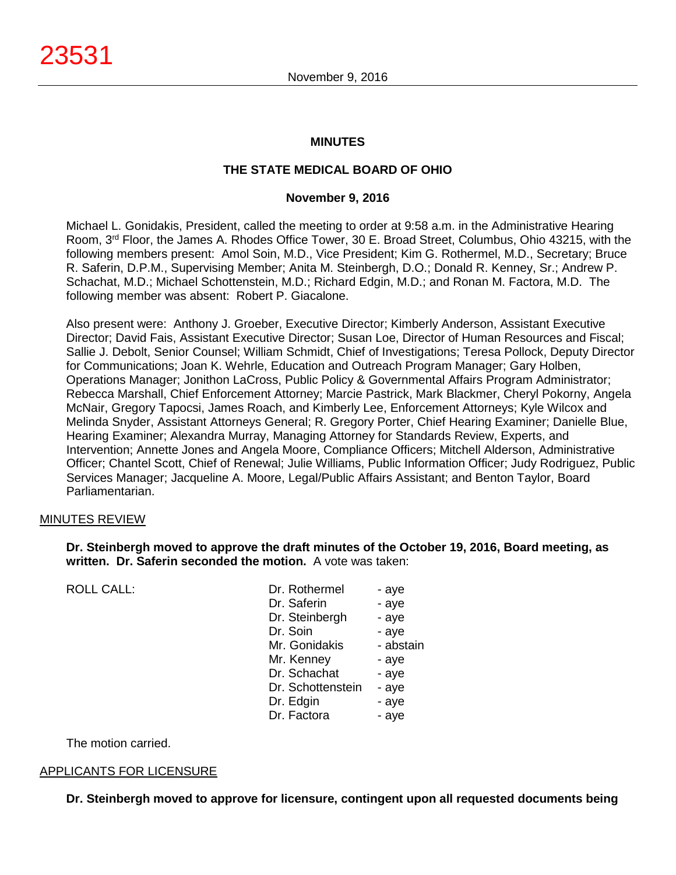# **MINUTES**

# **THE STATE MEDICAL BOARD OF OHIO**

#### **November 9, 2016**

Michael L. Gonidakis, President, called the meeting to order at 9:58 a.m. in the Administrative Hearing Room, 3rd Floor, the James A. Rhodes Office Tower, 30 E. Broad Street, Columbus, Ohio 43215, with the following members present: Amol Soin, M.D., Vice President; Kim G. Rothermel, M.D., Secretary; Bruce R. Saferin, D.P.M., Supervising Member; Anita M. Steinbergh, D.O.; Donald R. Kenney, Sr.; Andrew P. Schachat, M.D.; Michael Schottenstein, M.D.; Richard Edgin, M.D.; and Ronan M. Factora, M.D. The following member was absent: Robert P. Giacalone.

Also present were: Anthony J. Groeber, Executive Director; Kimberly Anderson, Assistant Executive Director; David Fais, Assistant Executive Director; Susan Loe, Director of Human Resources and Fiscal; Sallie J. Debolt, Senior Counsel; William Schmidt, Chief of Investigations; Teresa Pollock, Deputy Director for Communications; Joan K. Wehrle, Education and Outreach Program Manager; Gary Holben, Operations Manager; Jonithon LaCross, Public Policy & Governmental Affairs Program Administrator; Rebecca Marshall, Chief Enforcement Attorney; Marcie Pastrick, Mark Blackmer, Cheryl Pokorny, Angela McNair, Gregory Tapocsi, James Roach, and Kimberly Lee, Enforcement Attorneys; Kyle Wilcox and Melinda Snyder, Assistant Attorneys General; R. Gregory Porter, Chief Hearing Examiner; Danielle Blue, Hearing Examiner; Alexandra Murray, Managing Attorney for Standards Review, Experts, and Intervention; Annette Jones and Angela Moore, Compliance Officers; Mitchell Alderson, Administrative Officer; Chantel Scott, Chief of Renewal; Julie Williams, Public Information Officer; Judy Rodriguez, Public Services Manager; Jacqueline A. Moore, Legal/Public Affairs Assistant; and Benton Taylor, Board Parliamentarian.

# MINUTES REVIEW

# **Dr. Steinbergh moved to approve the draft minutes of the October 19, 2016, Board meeting, as written. Dr. Saferin seconded the motion.** A vote was taken:

ROLL CALL:

| Dr. Rothermel     | - aye     |
|-------------------|-----------|
| Dr. Saferin       | - aye     |
| Dr. Steinbergh    | - aye     |
| Dr. Soin          | - aye     |
| Mr. Gonidakis     | - abstain |
| Mr. Kenney        | - aye     |
| Dr. Schachat      | - aye     |
| Dr. Schottenstein | - aye     |
| Dr. Edgin         | - aye     |
| Dr. Factora       | - ave     |

The motion carried.

# APPLICANTS FOR LICENSURE

**Dr. Steinbergh moved to approve for licensure, contingent upon all requested documents being**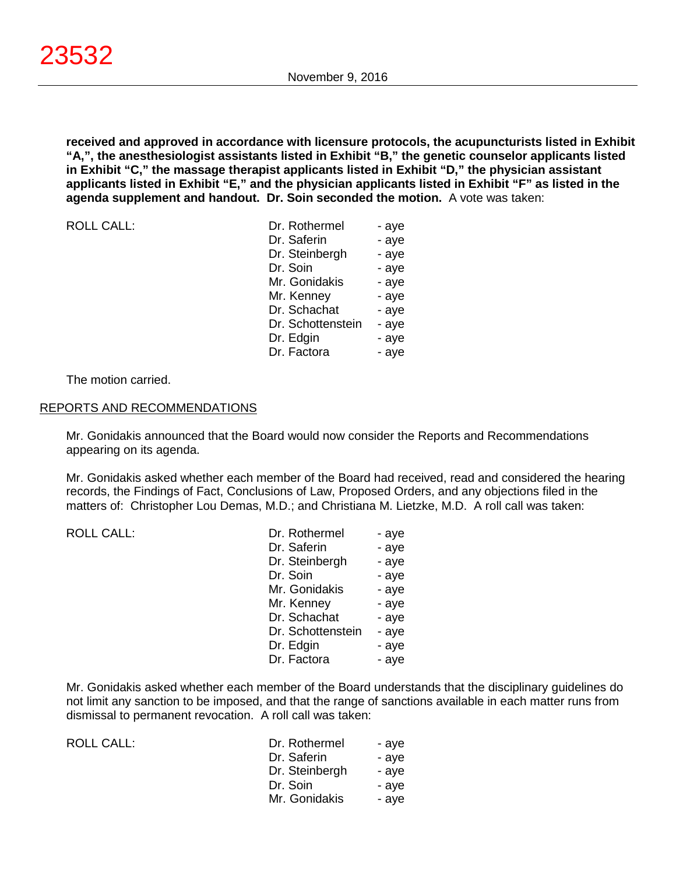**received and approved in accordance with licensure protocols, the acupuncturists listed in Exhibit "A,", the anesthesiologist assistants listed in Exhibit "B," the genetic counselor applicants listed in Exhibit "C," the massage therapist applicants listed in Exhibit "D," the physician assistant applicants listed in Exhibit "E," and the physician applicants listed in Exhibit "F" as listed in the agenda supplement and handout. Dr. Soin seconded the motion.** A vote was taken:

| <b>ROLL CALL:</b> | Dr. Rothermel     | - aye |
|-------------------|-------------------|-------|
|                   | Dr. Saferin       | - aye |
|                   | Dr. Steinbergh    | - aye |
|                   | Dr. Soin          | - aye |
|                   | Mr. Gonidakis     | - aye |
|                   | Mr. Kenney        | - aye |
|                   | Dr. Schachat      | - aye |
|                   | Dr. Schottenstein | - aye |
|                   | Dr. Edgin         | - aye |
|                   | Dr. Factora       | - aye |
|                   |                   |       |

The motion carried.

#### REPORTS AND RECOMMENDATIONS

Mr. Gonidakis announced that the Board would now consider the Reports and Recommendations appearing on its agenda.

Mr. Gonidakis asked whether each member of the Board had received, read and considered the hearing records, the Findings of Fact, Conclusions of Law, Proposed Orders, and any objections filed in the matters of: Christopher Lou Demas, M.D.; and Christiana M. Lietzke, M.D. A roll call was taken:

| <b>ROLL CALL:</b> |  |  |
|-------------------|--|--|
|                   |  |  |

| <b>ROLL CALL:</b> | Dr. Rothermel     | - aye |
|-------------------|-------------------|-------|
|                   | Dr. Saferin       | - aye |
|                   | Dr. Steinbergh    | - aye |
|                   | Dr. Soin          | - aye |
|                   | Mr. Gonidakis     | - aye |
|                   | Mr. Kenney        | - aye |
|                   | Dr. Schachat      | - aye |
|                   | Dr. Schottenstein | - aye |
|                   | Dr. Edgin         | - aye |
|                   | Dr. Factora       | - aye |

Mr. Gonidakis asked whether each member of the Board understands that the disciplinary guidelines do not limit any sanction to be imposed, and that the range of sanctions available in each matter runs from dismissal to permanent revocation. A roll call was taken:

| ROLL CALL: | Dr. Rothermel  | - ave |
|------------|----------------|-------|
|            | Dr. Saferin    | - ave |
|            | Dr. Steinbergh | - ave |
|            | Dr. Soin       | - ave |
|            | Mr. Gonidakis  | - ave |
|            |                |       |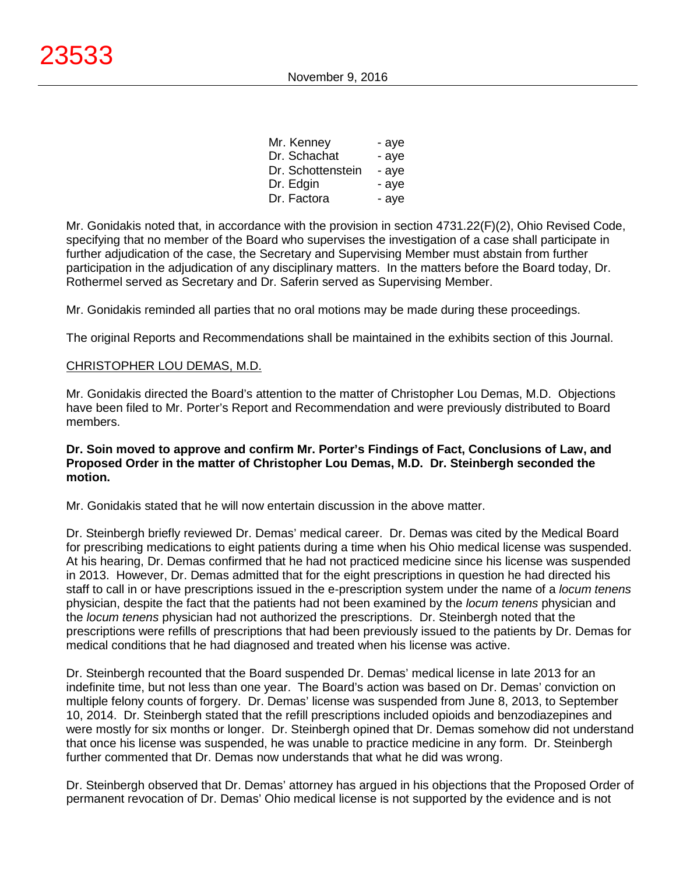| Mr. Kenney        | - aye |
|-------------------|-------|
| Dr. Schachat      | - aye |
| Dr. Schottenstein | - aye |
| Dr. Edgin         | - aye |
| Dr. Factora       | - aye |

Mr. Gonidakis noted that, in accordance with the provision in section 4731.22(F)(2), Ohio Revised Code, specifying that no member of the Board who supervises the investigation of a case shall participate in further adjudication of the case, the Secretary and Supervising Member must abstain from further participation in the adjudication of any disciplinary matters. In the matters before the Board today, Dr. Rothermel served as Secretary and Dr. Saferin served as Supervising Member.

Mr. Gonidakis reminded all parties that no oral motions may be made during these proceedings.

The original Reports and Recommendations shall be maintained in the exhibits section of this Journal.

# CHRISTOPHER LOU DEMAS, M.D.

Mr. Gonidakis directed the Board's attention to the matter of Christopher Lou Demas, M.D. Objections have been filed to Mr. Porter's Report and Recommendation and were previously distributed to Board members.

#### **Dr. Soin moved to approve and confirm Mr. Porter's Findings of Fact, Conclusions of Law, and Proposed Order in the matter of Christopher Lou Demas, M.D. Dr. Steinbergh seconded the motion.**

Mr. Gonidakis stated that he will now entertain discussion in the above matter.

Dr. Steinbergh briefly reviewed Dr. Demas' medical career. Dr. Demas was cited by the Medical Board for prescribing medications to eight patients during a time when his Ohio medical license was suspended. At his hearing, Dr. Demas confirmed that he had not practiced medicine since his license was suspended in 2013. However, Dr. Demas admitted that for the eight prescriptions in question he had directed his staff to call in or have prescriptions issued in the e-prescription system under the name of a *locum tenens* physician, despite the fact that the patients had not been examined by the *locum tenens* physician and the *locum tenens* physician had not authorized the prescriptions. Dr. Steinbergh noted that the prescriptions were refills of prescriptions that had been previously issued to the patients by Dr. Demas for medical conditions that he had diagnosed and treated when his license was active.

Dr. Steinbergh recounted that the Board suspended Dr. Demas' medical license in late 2013 for an indefinite time, but not less than one year. The Board's action was based on Dr. Demas' conviction on multiple felony counts of forgery. Dr. Demas' license was suspended from June 8, 2013, to September 10, 2014. Dr. Steinbergh stated that the refill prescriptions included opioids and benzodiazepines and were mostly for six months or longer. Dr. Steinbergh opined that Dr. Demas somehow did not understand that once his license was suspended, he was unable to practice medicine in any form. Dr. Steinbergh further commented that Dr. Demas now understands that what he did was wrong.

Dr. Steinbergh observed that Dr. Demas' attorney has argued in his objections that the Proposed Order of permanent revocation of Dr. Demas' Ohio medical license is not supported by the evidence and is not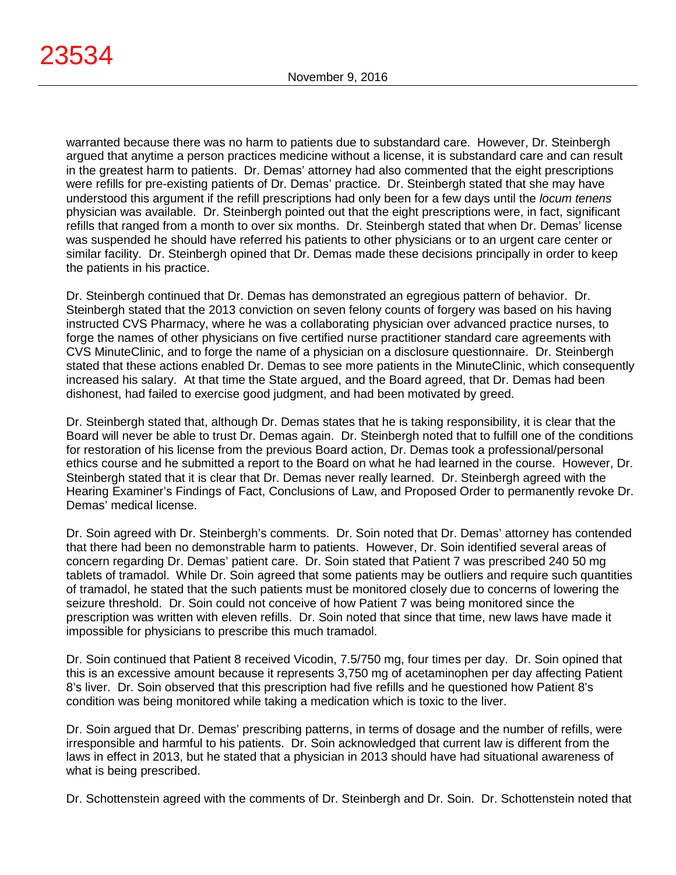warranted because there was no harm to patients due to substandard care. However, Dr. Steinbergh argued that anytime a person practices medicine without a license, it is substandard care and can result in the greatest harm to patients. Dr. Demas' attorney had also commented that the eight prescriptions were refills for pre-existing patients of Dr. Demas' practice. Dr. Steinbergh stated that she may have understood this argument if the refill prescriptions had only been for a few days until the *locum tenens* physician was available. Dr. Steinbergh pointed out that the eight prescriptions were, in fact, significant refills that ranged from a month to over six months. Dr. Steinbergh stated that when Dr. Demas' license was suspended he should have referred his patients to other physicians or to an urgent care center or similar facility. Dr. Steinbergh opined that Dr. Demas made these decisions principally in order to keep the patients in his practice.

Dr. Steinbergh continued that Dr. Demas has demonstrated an egregious pattern of behavior. Dr. Steinbergh stated that the 2013 conviction on seven felony counts of forgery was based on his having instructed CVS Pharmacy, where he was a collaborating physician over advanced practice nurses, to forge the names of other physicians on five certified nurse practitioner standard care agreements with CVS MinuteClinic, and to forge the name of a physician on a disclosure questionnaire. Dr. Steinbergh stated that these actions enabled Dr. Demas to see more patients in the MinuteClinic, which consequently increased his salary. At that time the State argued, and the Board agreed, that Dr. Demas had been dishonest, had failed to exercise good judgment, and had been motivated by greed.

Dr. Steinbergh stated that, although Dr. Demas states that he is taking responsibility, it is clear that the Board will never be able to trust Dr. Demas again. Dr. Steinbergh noted that to fulfill one of the conditions for restoration of his license from the previous Board action, Dr. Demas took a professional/personal ethics course and he submitted a report to the Board on what he had learned in the course. However, Dr. Steinbergh stated that it is clear that Dr. Demas never really learned. Dr. Steinbergh agreed with the Hearing Examiner's Findings of Fact, Conclusions of Law, and Proposed Order to permanently revoke Dr. Demas' medical license.

Dr. Soin agreed with Dr. Steinbergh's comments. Dr. Soin noted that Dr. Demas' attorney has contended that there had been no demonstrable harm to patients. However, Dr. Soin identified several areas of concern regarding Dr. Demas' patient care. Dr. Soin stated that Patient 7 was prescribed 240 50 mg tablets of tramadol. While Dr. Soin agreed that some patients may be outliers and require such quantities of tramadol, he stated that the such patients must be monitored closely due to concerns of lowering the seizure threshold. Dr. Soin could not conceive of how Patient 7 was being monitored since the prescription was written with eleven refills. Dr. Soin noted that since that time, new laws have made it impossible for physicians to prescribe this much tramadol.

Dr. Soin continued that Patient 8 received Vicodin, 7.5/750 mg, four times per day. Dr. Soin opined that this is an excessive amount because it represents 3,750 mg of acetaminophen per day affecting Patient 8's liver. Dr. Soin observed that this prescription had five refills and he questioned how Patient 8's condition was being monitored while taking a medication which is toxic to the liver.

Dr. Soin argued that Dr. Demas' prescribing patterns, in terms of dosage and the number of refills, were irresponsible and harmful to his patients. Dr. Soin acknowledged that current law is different from the laws in effect in 2013, but he stated that a physician in 2013 should have had situational awareness of what is being prescribed.

Dr. Schottenstein agreed with the comments of Dr. Steinbergh and Dr. Soin. Dr. Schottenstein noted that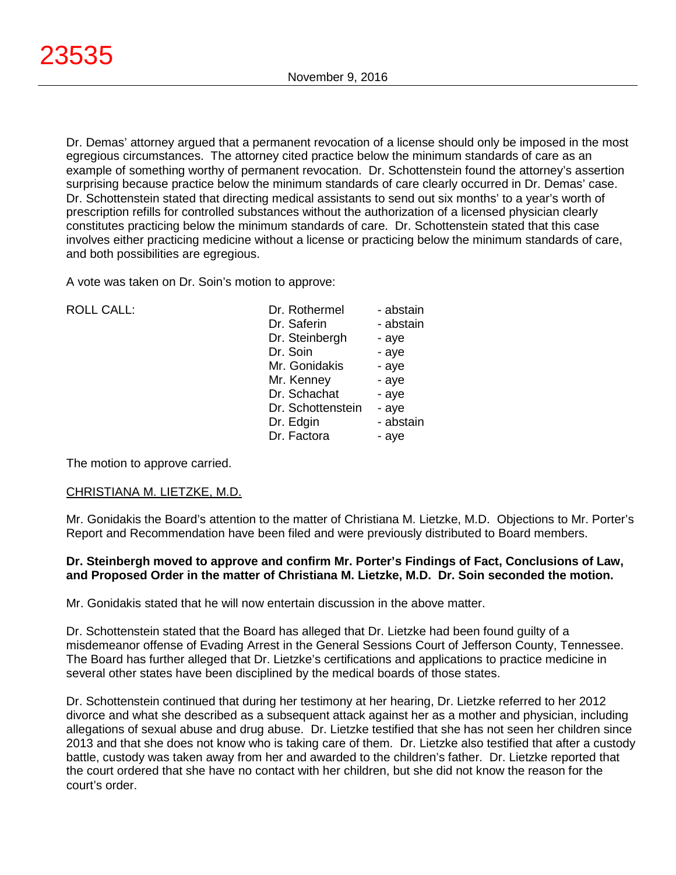Dr. Demas' attorney argued that a permanent revocation of a license should only be imposed in the most egregious circumstances. The attorney cited practice below the minimum standards of care as an example of something worthy of permanent revocation. Dr. Schottenstein found the attorney's assertion surprising because practice below the minimum standards of care clearly occurred in Dr. Demas' case. Dr. Schottenstein stated that directing medical assistants to send out six months' to a year's worth of prescription refills for controlled substances without the authorization of a licensed physician clearly constitutes practicing below the minimum standards of care. Dr. Schottenstein stated that this case involves either practicing medicine without a license or practicing below the minimum standards of care, and both possibilities are egregious.

A vote was taken on Dr. Soin's motion to approve:

| <b>ROLL CALL:</b> |  |
|-------------------|--|
|                   |  |

| ROLL CALL: | Dr. Rothermel     | - abstain |
|------------|-------------------|-----------|
|            | Dr. Saferin       | - abstain |
|            | Dr. Steinbergh    | - aye     |
|            | Dr. Soin          | - aye     |
|            | Mr. Gonidakis     | - aye     |
|            | Mr. Kenney        | - aye     |
|            | Dr. Schachat      | - aye     |
|            | Dr. Schottenstein | - aye     |
|            | Dr. Edgin         | - abstain |
|            | Dr. Factora       | - aye     |

The motion to approve carried.

# CHRISTIANA M. LIETZKE, M.D.

Mr. Gonidakis the Board's attention to the matter of Christiana M. Lietzke, M.D. Objections to Mr. Porter's Report and Recommendation have been filed and were previously distributed to Board members.

# **Dr. Steinbergh moved to approve and confirm Mr. Porter's Findings of Fact, Conclusions of Law, and Proposed Order in the matter of Christiana M. Lietzke, M.D. Dr. Soin seconded the motion.**

Mr. Gonidakis stated that he will now entertain discussion in the above matter.

Dr. Schottenstein stated that the Board has alleged that Dr. Lietzke had been found guilty of a misdemeanor offense of Evading Arrest in the General Sessions Court of Jefferson County, Tennessee. The Board has further alleged that Dr. Lietzke's certifications and applications to practice medicine in several other states have been disciplined by the medical boards of those states.

Dr. Schottenstein continued that during her testimony at her hearing, Dr. Lietzke referred to her 2012 divorce and what she described as a subsequent attack against her as a mother and physician, including allegations of sexual abuse and drug abuse. Dr. Lietzke testified that she has not seen her children since 2013 and that she does not know who is taking care of them. Dr. Lietzke also testified that after a custody battle, custody was taken away from her and awarded to the children's father. Dr. Lietzke reported that the court ordered that she have no contact with her children, but she did not know the reason for the court's order.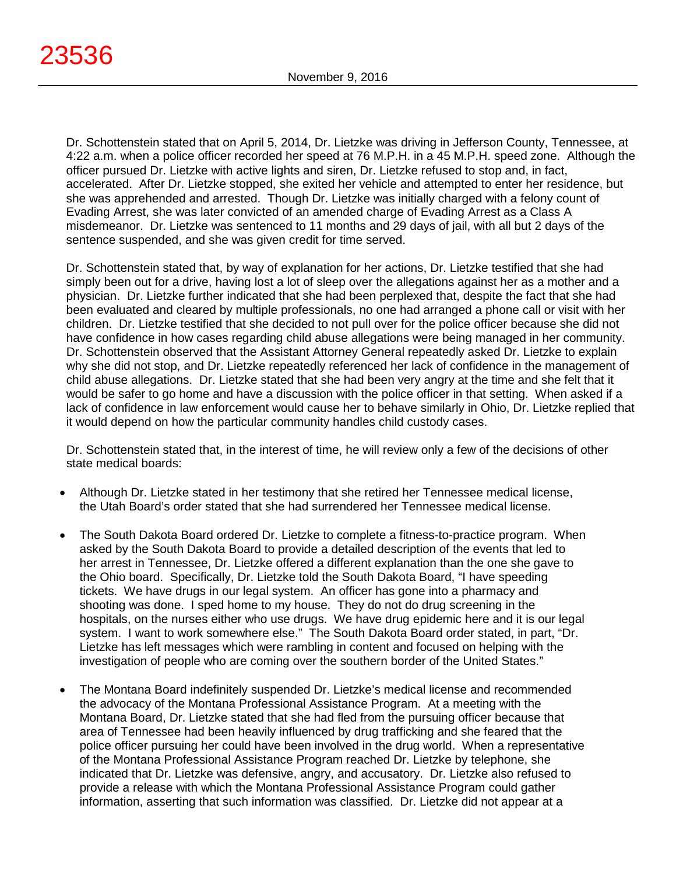23536

Dr. Schottenstein stated that on April 5, 2014, Dr. Lietzke was driving in Jefferson County, Tennessee, at 4:22 a.m. when a police officer recorded her speed at 76 M.P.H. in a 45 M.P.H. speed zone. Although the officer pursued Dr. Lietzke with active lights and siren, Dr. Lietzke refused to stop and, in fact, accelerated. After Dr. Lietzke stopped, she exited her vehicle and attempted to enter her residence, but she was apprehended and arrested. Though Dr. Lietzke was initially charged with a felony count of Evading Arrest, she was later convicted of an amended charge of Evading Arrest as a Class A misdemeanor. Dr. Lietzke was sentenced to 11 months and 29 days of jail, with all but 2 days of the sentence suspended, and she was given credit for time served.

Dr. Schottenstein stated that, by way of explanation for her actions, Dr. Lietzke testified that she had simply been out for a drive, having lost a lot of sleep over the allegations against her as a mother and a physician. Dr. Lietzke further indicated that she had been perplexed that, despite the fact that she had been evaluated and cleared by multiple professionals, no one had arranged a phone call or visit with her children. Dr. Lietzke testified that she decided to not pull over for the police officer because she did not have confidence in how cases regarding child abuse allegations were being managed in her community. Dr. Schottenstein observed that the Assistant Attorney General repeatedly asked Dr. Lietzke to explain why she did not stop, and Dr. Lietzke repeatedly referenced her lack of confidence in the management of child abuse allegations. Dr. Lietzke stated that she had been very angry at the time and she felt that it would be safer to go home and have a discussion with the police officer in that setting. When asked if a lack of confidence in law enforcement would cause her to behave similarly in Ohio, Dr. Lietzke replied that it would depend on how the particular community handles child custody cases.

Dr. Schottenstein stated that, in the interest of time, he will review only a few of the decisions of other state medical boards:

- Although Dr. Lietzke stated in her testimony that she retired her Tennessee medical license, the Utah Board's order stated that she had surrendered her Tennessee medical license.
- The South Dakota Board ordered Dr. Lietzke to complete a fitness-to-practice program. When asked by the South Dakota Board to provide a detailed description of the events that led to her arrest in Tennessee, Dr. Lietzke offered a different explanation than the one she gave to the Ohio board. Specifically, Dr. Lietzke told the South Dakota Board, "I have speeding tickets. We have drugs in our legal system. An officer has gone into a pharmacy and shooting was done. I sped home to my house. They do not do drug screening in the hospitals, on the nurses either who use drugs. We have drug epidemic here and it is our legal system. I want to work somewhere else." The South Dakota Board order stated, in part, "Dr. Lietzke has left messages which were rambling in content and focused on helping with the investigation of people who are coming over the southern border of the United States."
- The Montana Board indefinitely suspended Dr. Lietzke's medical license and recommended the advocacy of the Montana Professional Assistance Program. At a meeting with the Montana Board, Dr. Lietzke stated that she had fled from the pursuing officer because that area of Tennessee had been heavily influenced by drug trafficking and she feared that the police officer pursuing her could have been involved in the drug world. When a representative of the Montana Professional Assistance Program reached Dr. Lietzke by telephone, she indicated that Dr. Lietzke was defensive, angry, and accusatory. Dr. Lietzke also refused to provide a release with which the Montana Professional Assistance Program could gather information, asserting that such information was classified. Dr. Lietzke did not appear at a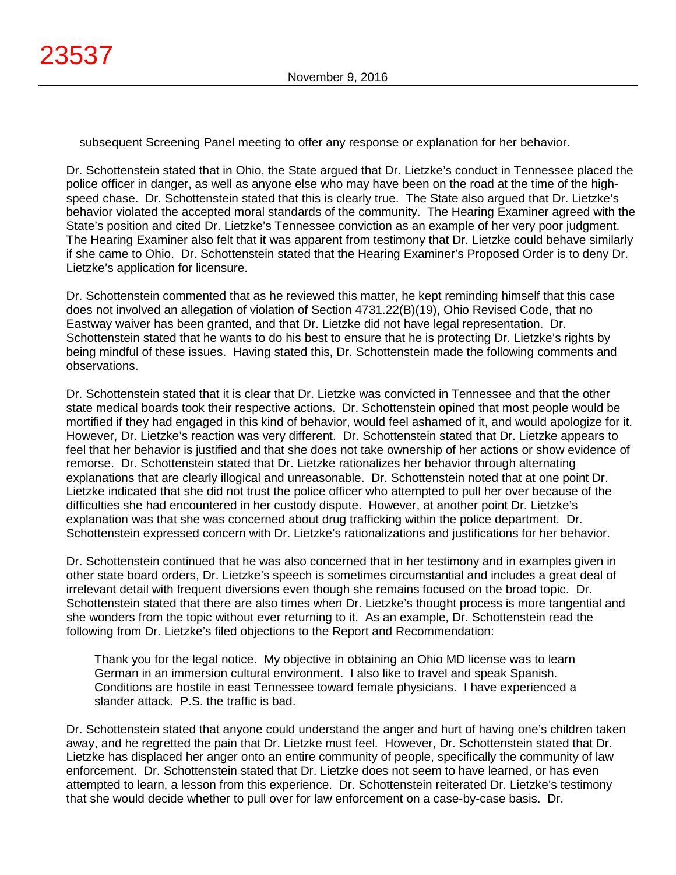subsequent Screening Panel meeting to offer any response or explanation for her behavior.

Dr. Schottenstein stated that in Ohio, the State argued that Dr. Lietzke's conduct in Tennessee placed the police officer in danger, as well as anyone else who may have been on the road at the time of the highspeed chase. Dr. Schottenstein stated that this is clearly true. The State also argued that Dr. Lietzke's behavior violated the accepted moral standards of the community. The Hearing Examiner agreed with the State's position and cited Dr. Lietzke's Tennessee conviction as an example of her very poor judgment. The Hearing Examiner also felt that it was apparent from testimony that Dr. Lietzke could behave similarly if she came to Ohio. Dr. Schottenstein stated that the Hearing Examiner's Proposed Order is to deny Dr. Lietzke's application for licensure.

Dr. Schottenstein commented that as he reviewed this matter, he kept reminding himself that this case does not involved an allegation of violation of Section 4731.22(B)(19), Ohio Revised Code, that no Eastway waiver has been granted, and that Dr. Lietzke did not have legal representation. Dr. Schottenstein stated that he wants to do his best to ensure that he is protecting Dr. Lietzke's rights by being mindful of these issues. Having stated this, Dr. Schottenstein made the following comments and observations.

Dr. Schottenstein stated that it is clear that Dr. Lietzke was convicted in Tennessee and that the other state medical boards took their respective actions. Dr. Schottenstein opined that most people would be mortified if they had engaged in this kind of behavior, would feel ashamed of it, and would apologize for it. However, Dr. Lietzke's reaction was very different. Dr. Schottenstein stated that Dr. Lietzke appears to feel that her behavior is justified and that she does not take ownership of her actions or show evidence of remorse. Dr. Schottenstein stated that Dr. Lietzke rationalizes her behavior through alternating explanations that are clearly illogical and unreasonable. Dr. Schottenstein noted that at one point Dr. Lietzke indicated that she did not trust the police officer who attempted to pull her over because of the difficulties she had encountered in her custody dispute. However, at another point Dr. Lietzke's explanation was that she was concerned about drug trafficking within the police department. Dr. Schottenstein expressed concern with Dr. Lietzke's rationalizations and justifications for her behavior.

Dr. Schottenstein continued that he was also concerned that in her testimony and in examples given in other state board orders, Dr. Lietzke's speech is sometimes circumstantial and includes a great deal of irrelevant detail with frequent diversions even though she remains focused on the broad topic. Dr. Schottenstein stated that there are also times when Dr. Lietzke's thought process is more tangential and she wonders from the topic without ever returning to it. As an example, Dr. Schottenstein read the following from Dr. Lietzke's filed objections to the Report and Recommendation:

Thank you for the legal notice. My objective in obtaining an Ohio MD license was to learn German in an immersion cultural environment. I also like to travel and speak Spanish. Conditions are hostile in east Tennessee toward female physicians. I have experienced a slander attack. P.S. the traffic is bad.

Dr. Schottenstein stated that anyone could understand the anger and hurt of having one's children taken away, and he regretted the pain that Dr. Lietzke must feel. However, Dr. Schottenstein stated that Dr. Lietzke has displaced her anger onto an entire community of people, specifically the community of law enforcement. Dr. Schottenstein stated that Dr. Lietzke does not seem to have learned, or has even attempted to learn, a lesson from this experience. Dr. Schottenstein reiterated Dr. Lietzke's testimony that she would decide whether to pull over for law enforcement on a case-by-case basis. Dr.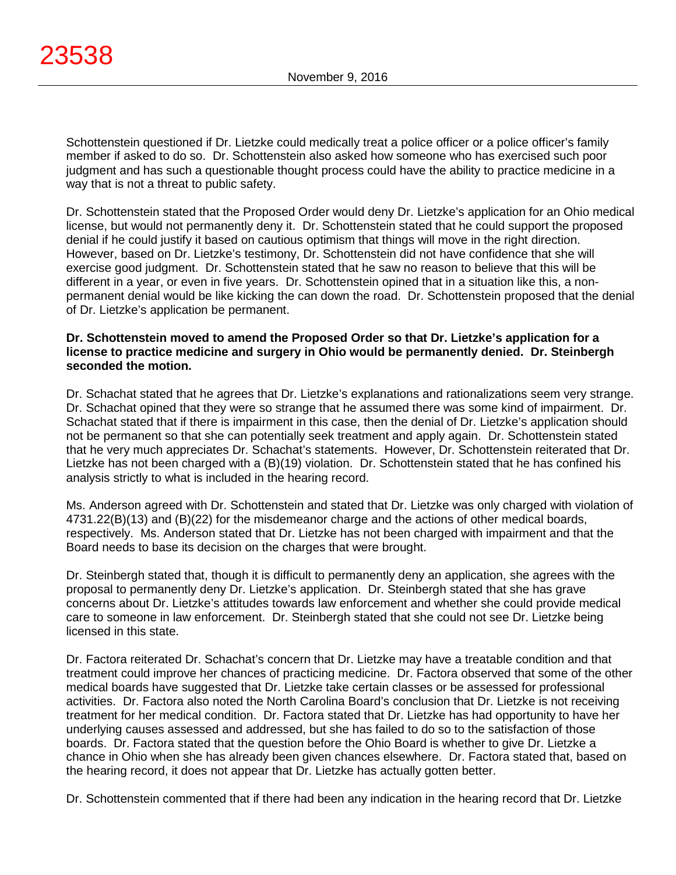Schottenstein questioned if Dr. Lietzke could medically treat a police officer or a police officer's family member if asked to do so. Dr. Schottenstein also asked how someone who has exercised such poor judgment and has such a questionable thought process could have the ability to practice medicine in a way that is not a threat to public safety.

Dr. Schottenstein stated that the Proposed Order would deny Dr. Lietzke's application for an Ohio medical license, but would not permanently deny it. Dr. Schottenstein stated that he could support the proposed denial if he could justify it based on cautious optimism that things will move in the right direction. However, based on Dr. Lietzke's testimony, Dr. Schottenstein did not have confidence that she will exercise good judgment. Dr. Schottenstein stated that he saw no reason to believe that this will be different in a year, or even in five years. Dr. Schottenstein opined that in a situation like this, a nonpermanent denial would be like kicking the can down the road. Dr. Schottenstein proposed that the denial of Dr. Lietzke's application be permanent.

# **Dr. Schottenstein moved to amend the Proposed Order so that Dr. Lietzke's application for a license to practice medicine and surgery in Ohio would be permanently denied. Dr. Steinbergh seconded the motion.**

Dr. Schachat stated that he agrees that Dr. Lietzke's explanations and rationalizations seem very strange. Dr. Schachat opined that they were so strange that he assumed there was some kind of impairment. Dr. Schachat stated that if there is impairment in this case, then the denial of Dr. Lietzke's application should not be permanent so that she can potentially seek treatment and apply again. Dr. Schottenstein stated that he very much appreciates Dr. Schachat's statements. However, Dr. Schottenstein reiterated that Dr. Lietzke has not been charged with a (B)(19) violation. Dr. Schottenstein stated that he has confined his analysis strictly to what is included in the hearing record.

Ms. Anderson agreed with Dr. Schottenstein and stated that Dr. Lietzke was only charged with violation of 4731.22(B)(13) and (B)(22) for the misdemeanor charge and the actions of other medical boards, respectively. Ms. Anderson stated that Dr. Lietzke has not been charged with impairment and that the Board needs to base its decision on the charges that were brought.

Dr. Steinbergh stated that, though it is difficult to permanently deny an application, she agrees with the proposal to permanently deny Dr. Lietzke's application. Dr. Steinbergh stated that she has grave concerns about Dr. Lietzke's attitudes towards law enforcement and whether she could provide medical care to someone in law enforcement. Dr. Steinbergh stated that she could not see Dr. Lietzke being licensed in this state.

Dr. Factora reiterated Dr. Schachat's concern that Dr. Lietzke may have a treatable condition and that treatment could improve her chances of practicing medicine. Dr. Factora observed that some of the other medical boards have suggested that Dr. Lietzke take certain classes or be assessed for professional activities. Dr. Factora also noted the North Carolina Board's conclusion that Dr. Lietzke is not receiving treatment for her medical condition. Dr. Factora stated that Dr. Lietzke has had opportunity to have her underlying causes assessed and addressed, but she has failed to do so to the satisfaction of those boards. Dr. Factora stated that the question before the Ohio Board is whether to give Dr. Lietzke a chance in Ohio when she has already been given chances elsewhere. Dr. Factora stated that, based on the hearing record, it does not appear that Dr. Lietzke has actually gotten better.

Dr. Schottenstein commented that if there had been any indication in the hearing record that Dr. Lietzke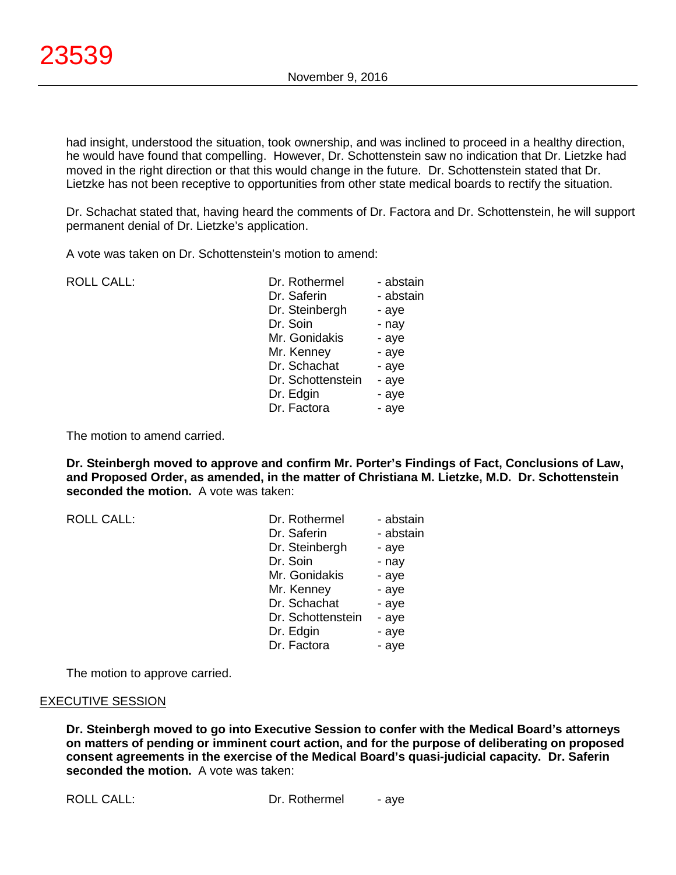had insight, understood the situation, took ownership, and was inclined to proceed in a healthy direction, he would have found that compelling. However, Dr. Schottenstein saw no indication that Dr. Lietzke had moved in the right direction or that this would change in the future. Dr. Schottenstein stated that Dr. Lietzke has not been receptive to opportunities from other state medical boards to rectify the situation.

Dr. Schachat stated that, having heard the comments of Dr. Factora and Dr. Schottenstein, he will support permanent denial of Dr. Lietzke's application.

A vote was taken on Dr. Schottenstein's motion to amend:

ROLL CALL: Dr. Roth

| Dr. Rothermel     | - abstain |
|-------------------|-----------|
| Dr. Saferin       | - abstain |
| Dr. Steinbergh    | - aye     |
| Dr. Soin          | - nay     |
| Mr. Gonidakis     | - aye     |
| Mr. Kenney        | - aye     |
| Dr. Schachat      | - aye     |
| Dr. Schottenstein | - aye     |
| Dr. Edgin         | - aye     |
| Dr. Factora       | - aye     |
|                   |           |

The motion to amend carried.

**Dr. Steinbergh moved to approve and confirm Mr. Porter's Findings of Fact, Conclusions of Law, and Proposed Order, as amended, in the matter of Christiana M. Lietzke, M.D. Dr. Schottenstein seconded the motion.** A vote was taken:

| <b>ROLL CALL:</b> | Dr. Rothermel     | - abstain |
|-------------------|-------------------|-----------|
|                   | Dr. Saferin       | - abstain |
|                   | Dr. Steinbergh    | - aye     |
|                   | Dr. Soin          | - nay     |
|                   | Mr. Gonidakis     | - aye     |
|                   | Mr. Kenney        | - aye     |
|                   | Dr. Schachat      | - aye     |
|                   | Dr. Schottenstein | - aye     |
|                   | Dr. Edgin         | - aye     |
|                   | Dr. Factora       | - aye     |

The motion to approve carried.

# EXECUTIVE SESSION

**Dr. Steinbergh moved to go into Executive Session to confer with the Medical Board's attorneys on matters of pending or imminent court action, and for the purpose of deliberating on proposed consent agreements in the exercise of the Medical Board's quasi-judicial capacity. Dr. Saferin seconded the motion.** A vote was taken: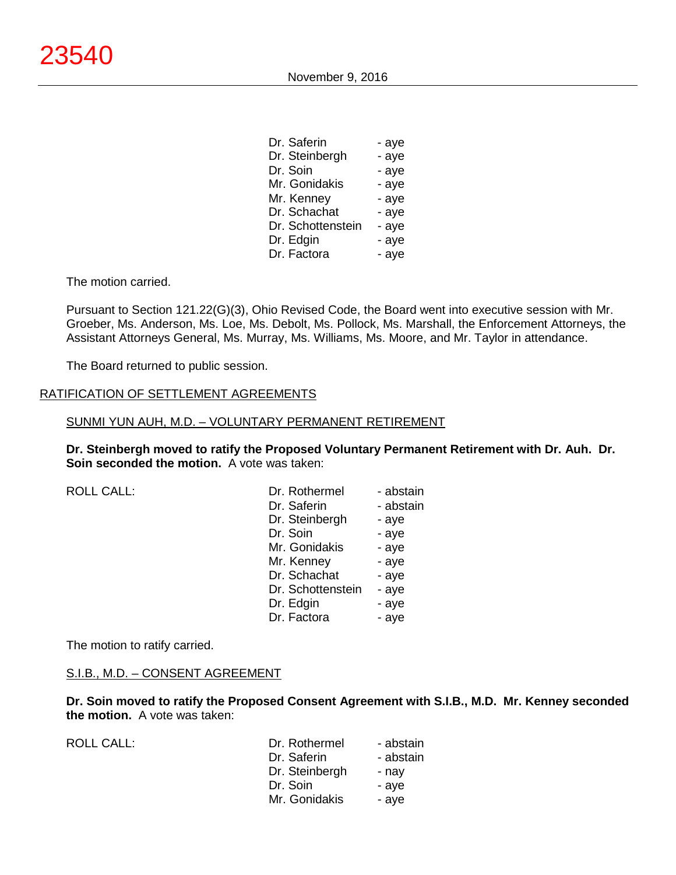November 9, 2016

| - aye |
|-------|
| - aye |
| - aye |
| - aye |
| - aye |
| - aye |
| - aye |
| - aye |
| - aye |
|       |

The motion carried.

Pursuant to Section 121.22(G)(3), Ohio Revised Code, the Board went into executive session with Mr. Groeber, Ms. Anderson, Ms. Loe, Ms. Debolt, Ms. Pollock, Ms. Marshall, the Enforcement Attorneys, the Assistant Attorneys General, Ms. Murray, Ms. Williams, Ms. Moore, and Mr. Taylor in attendance.

The Board returned to public session.

#### RATIFICATION OF SETTLEMENT AGREEMENTS

#### SUNMI YUN AUH, M.D. – VOLUNTARY PERMANENT RETIREMENT

**Dr. Steinbergh moved to ratify the Proposed Voluntary Permanent Retirement with Dr. Auh. Dr. Soin seconded the motion.** A vote was taken:

| <b>ROLL CALL:</b> | Dr. Rothermel     | - abstain |
|-------------------|-------------------|-----------|
|                   | Dr. Saferin       | - abstain |
|                   | Dr. Steinbergh    | - aye     |
|                   | Dr. Soin          | - aye     |
|                   | Mr. Gonidakis     | - aye     |
|                   | Mr. Kenney        | - aye     |
|                   | Dr. Schachat      | - aye     |
|                   | Dr. Schottenstein | - aye     |
|                   | Dr. Edgin         | - aye     |
|                   | Dr. Factora       | - aye     |

The motion to ratify carried.

#### S.I.B., M.D. – CONSENT AGREEMENT

**Dr. Soin moved to ratify the Proposed Consent Agreement with S.I.B., M.D. Mr. Kenney seconded the motion.** A vote was taken:

ROLL CALL:

| Dr. Rothermel  | - abstain |
|----------------|-----------|
| Dr. Saferin    | - abstain |
| Dr. Steinbergh | - nay     |
| Dr. Soin       | - aye     |
| Mr. Gonidakis  | - aye     |
|                |           |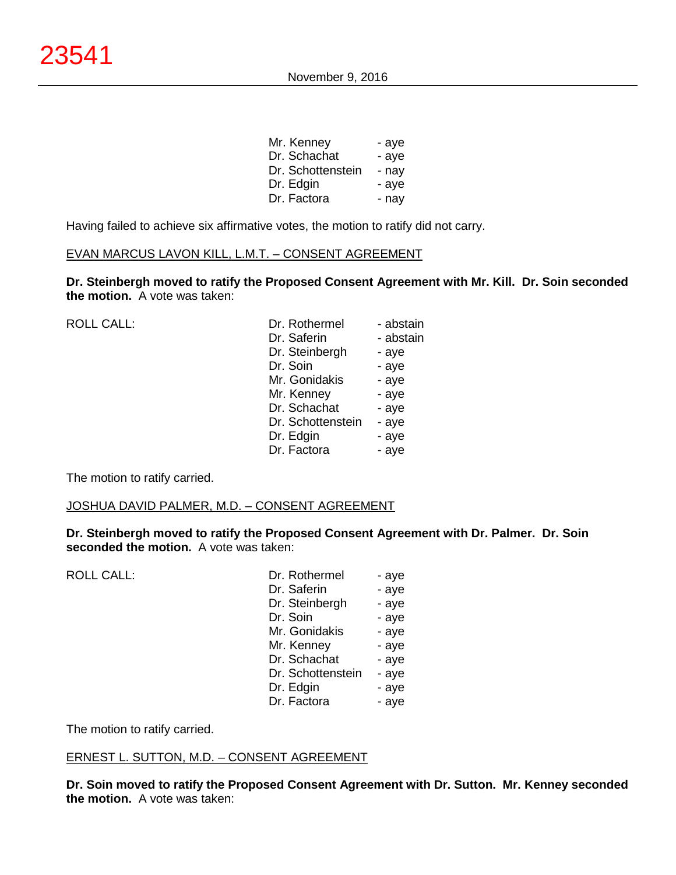| Mr. Kenney        | - aye |
|-------------------|-------|
| Dr. Schachat      | - aye |
| Dr. Schottenstein | - nav |
| Dr. Edgin         | - aye |
| Dr. Factora       | - nay |

Having failed to achieve six affirmative votes, the motion to ratify did not carry.

# EVAN MARCUS LAVON KILL, L.M.T. – CONSENT AGREEMENT

**Dr. Steinbergh moved to ratify the Proposed Consent Agreement with Mr. Kill. Dr. Soin seconded the motion.** A vote was taken:

| <b>ROLL CALL:</b> | Dr. Rothermel     | - abstain |
|-------------------|-------------------|-----------|
|                   | Dr. Saferin       | - abstain |
|                   | Dr. Steinbergh    | - aye     |
|                   | Dr. Soin          | - aye     |
|                   | Mr. Gonidakis     | - aye     |
|                   | Mr. Kenney        | - aye     |
|                   | Dr. Schachat      | - aye     |
|                   | Dr. Schottenstein | - aye     |
|                   | Dr. Edgin         | - aye     |
|                   | Dr. Factora       | - aye     |
|                   |                   |           |

The motion to ratify carried.

#### JOSHUA DAVID PALMER, M.D. – CONSENT AGREEMENT

**Dr. Steinbergh moved to ratify the Proposed Consent Agreement with Dr. Palmer. Dr. Soin seconded the motion.** A vote was taken:

| <b>ROLL CALL:</b> |  |
|-------------------|--|
|                   |  |

| <b>ROLL CALL:</b> | Dr. Rothermel     | - aye |
|-------------------|-------------------|-------|
|                   | Dr. Saferin       | - aye |
|                   | Dr. Steinbergh    | - aye |
|                   | Dr. Soin          | - aye |
|                   | Mr. Gonidakis     | - aye |
|                   | Mr. Kenney        | - aye |
|                   | Dr. Schachat      | - aye |
|                   | Dr. Schottenstein | - aye |
|                   | Dr. Edgin         | - aye |
|                   | Dr. Factora       | - aye |

The motion to ratify carried.

# ERNEST L. SUTTON, M.D. – CONSENT AGREEMENT

**Dr. Soin moved to ratify the Proposed Consent Agreement with Dr. Sutton. Mr. Kenney seconded the motion.** A vote was taken: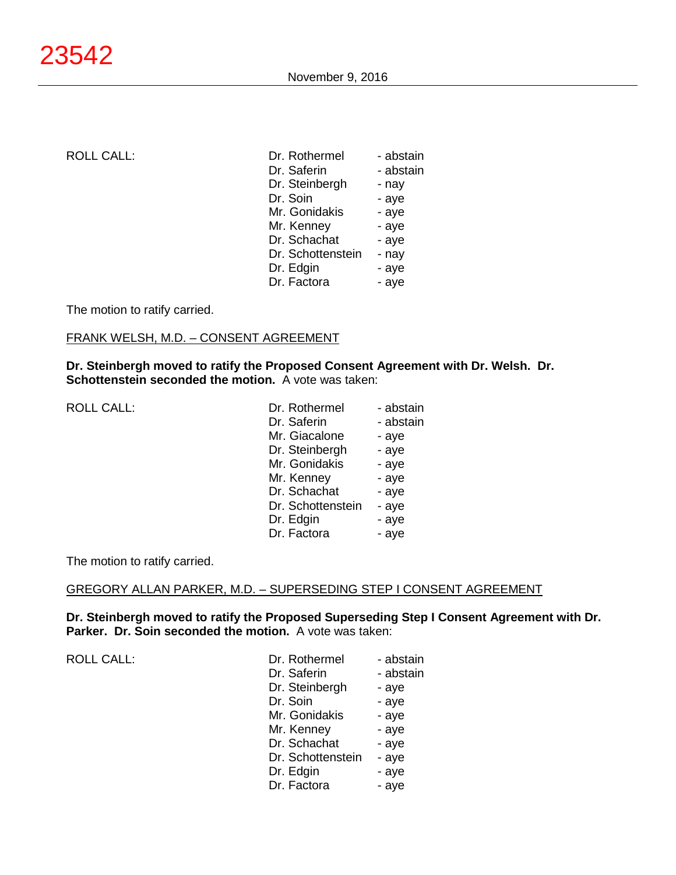| <b>ROLL CALL:</b> | Dr. Rothermel     | - abstain |
|-------------------|-------------------|-----------|
|                   | Dr. Saferin       | - abstain |
|                   | Dr. Steinbergh    | - nay     |
|                   | Dr. Soin          | - aye     |
|                   | Mr. Gonidakis     | - aye     |
|                   | Mr. Kenney        | - aye     |
|                   | Dr. Schachat      | - aye     |
|                   | Dr. Schottenstein | - nay     |
|                   | Dr. Edgin         | - aye     |
|                   | Dr. Factora       | - aye     |

The motion to ratify carried.

# FRANK WELSH, M.D. – CONSENT AGREEMENT

**Dr. Steinbergh moved to ratify the Proposed Consent Agreement with Dr. Welsh. Dr. Schottenstein seconded the motion.** A vote was taken:

| <b>ROLL CALL:</b> | Dr. Rothermel     | - abstain |
|-------------------|-------------------|-----------|
|                   | Dr. Saferin       | - abstain |
|                   | Mr. Giacalone     | - aye     |
|                   | Dr. Steinbergh    | - aye     |
|                   | Mr. Gonidakis     | - aye     |
|                   | Mr. Kenney        | - aye     |
|                   | Dr. Schachat      | - aye     |
|                   | Dr. Schottenstein | - aye     |
|                   | Dr. Edgin         | - aye     |
|                   | Dr. Factora       | - aye     |

The motion to ratify carried.

# GREGORY ALLAN PARKER, M.D. – SUPERSEDING STEP I CONSENT AGREEMENT

**Dr. Steinbergh moved to ratify the Proposed Superseding Step I Consent Agreement with Dr. Parker. Dr. Soin seconded the motion.** A vote was taken:

| Dr. Rothermel     | - abstain |
|-------------------|-----------|
| Dr. Saferin       | - abstain |
| Dr. Steinbergh    | - aye     |
| Dr. Soin          | - aye     |
| Mr. Gonidakis     | - aye     |
| Mr. Kenney        | - aye     |
| Dr. Schachat      | - aye     |
| Dr. Schottenstein | - aye     |
| Dr. Edgin         | - aye     |
| Dr. Factora       | - aye     |
|                   |           |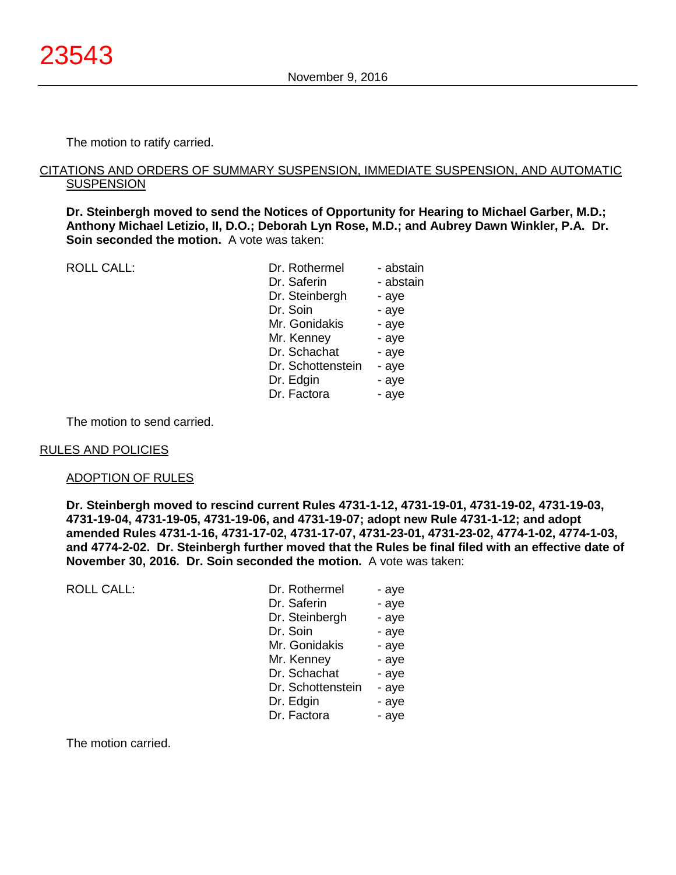The motion to ratify carried.

#### CITATIONS AND ORDERS OF SUMMARY SUSPENSION, IMMEDIATE SUSPENSION, AND AUTOMATIC **SUSPENSION**

**Dr. Steinbergh moved to send the Notices of Opportunity for Hearing to Michael Garber, M.D.; Anthony Michael Letizio, II, D.O.; Deborah Lyn Rose, M.D.; and Aubrey Dawn Winkler, P.A. Dr. Soin seconded the motion.** A vote was taken:

| <b>ROLL CALL:</b> | Dr. Rothermel     | - abstain |
|-------------------|-------------------|-----------|
|                   | Dr. Saferin       | - abstain |
|                   | Dr. Steinbergh    | - aye     |
|                   | Dr. Soin          | - aye     |
|                   | Mr. Gonidakis     | - aye     |
|                   | Mr. Kenney        | - aye     |
|                   | Dr. Schachat      | - aye     |
|                   | Dr. Schottenstein | - aye     |
|                   | Dr. Edgin         | - aye     |
|                   | Dr. Factora       | - aye     |
|                   |                   |           |

The motion to send carried.

#### RULES AND POLICIES

ROLL CALL:

#### ADOPTION OF RULES

**Dr. Steinbergh moved to rescind current Rules 4731-1-12, 4731-19-01, 4731-19-02, 4731-19-03, 4731-19-04, 4731-19-05, 4731-19-06, and 4731-19-07; adopt new Rule 4731-1-12; and adopt amended Rules 4731-1-16, 4731-17-02, 4731-17-07, 4731-23-01, 4731-23-02, 4774-1-02, 4774-1-03, and 4774-2-02. Dr. Steinbergh further moved that the Rules be final filed with an effective date of November 30, 2016. Dr. Soin seconded the motion.** A vote was taken:

| Dr. Rothermel     | - aye |
|-------------------|-------|
| Dr. Saferin       | - aye |
| Dr. Steinbergh    | - aye |
| Dr. Soin          | - aye |
| Mr. Gonidakis     | - aye |
| Mr. Kenney        | - aye |
| Dr. Schachat      | - aye |
| Dr. Schottenstein | - aye |
| Dr. Edgin         | - aye |
| Dr. Factora       | - aye |

The motion carried.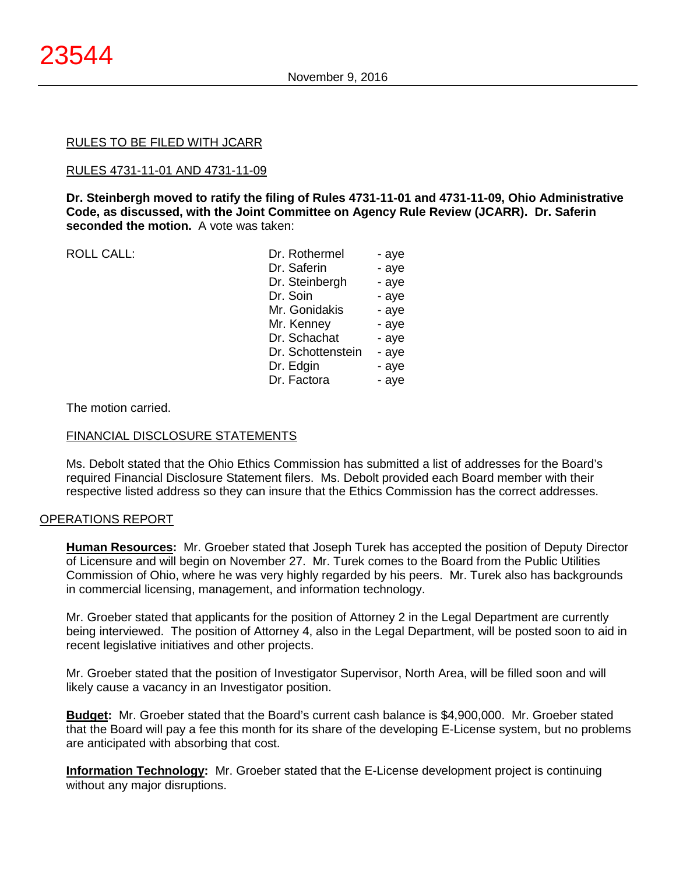#### RULES TO BE FILED WITH JCARR

#### RULES 4731-11-01 AND 4731-11-09

**Dr. Steinbergh moved to ratify the filing of Rules 4731-11-01 and 4731-11-09, Ohio Administrative Code, as discussed, with the Joint Committee on Agency Rule Review (JCARR). Dr. Saferin seconded the motion.** A vote was taken:

ROLL CALL:

| Dr. Rothermel     | - aye |
|-------------------|-------|
| Dr. Saferin       | - aye |
| Dr. Steinbergh    | - aye |
| Dr. Soin          | - aye |
| Mr. Gonidakis     | - aye |
| Mr. Kenney        | - aye |
| Dr. Schachat      | - aye |
| Dr. Schottenstein | - aye |
| Dr. Edgin         | - aye |
| Dr. Factora       | - aye |
|                   |       |

#### The motion carried.

#### FINANCIAL DISCLOSURE STATEMENTS

Ms. Debolt stated that the Ohio Ethics Commission has submitted a list of addresses for the Board's required Financial Disclosure Statement filers. Ms. Debolt provided each Board member with their respective listed address so they can insure that the Ethics Commission has the correct addresses.

# OPERATIONS REPORT

**Human Resources:** Mr. Groeber stated that Joseph Turek has accepted the position of Deputy Director of Licensure and will begin on November 27. Mr. Turek comes to the Board from the Public Utilities Commission of Ohio, where he was very highly regarded by his peers. Mr. Turek also has backgrounds in commercial licensing, management, and information technology.

Mr. Groeber stated that applicants for the position of Attorney 2 in the Legal Department are currently being interviewed. The position of Attorney 4, also in the Legal Department, will be posted soon to aid in recent legislative initiatives and other projects.

Mr. Groeber stated that the position of Investigator Supervisor, North Area, will be filled soon and will likely cause a vacancy in an Investigator position.

**Budget:** Mr. Groeber stated that the Board's current cash balance is \$4,900,000. Mr. Groeber stated that the Board will pay a fee this month for its share of the developing E-License system, but no problems are anticipated with absorbing that cost.

**Information Technology:** Mr. Groeber stated that the E-License development project is continuing without any major disruptions.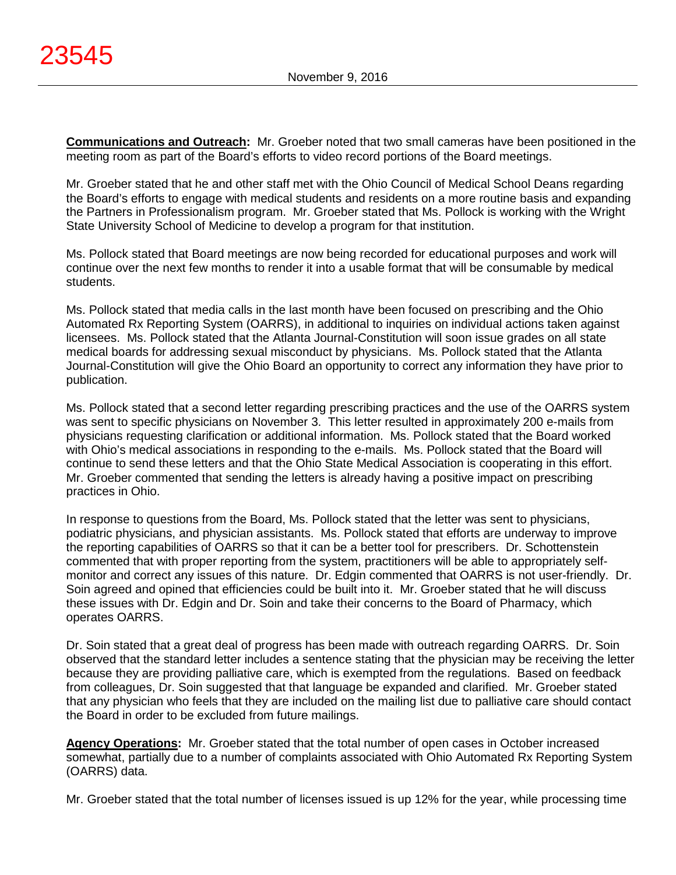**Communications and Outreach:** Mr. Groeber noted that two small cameras have been positioned in the meeting room as part of the Board's efforts to video record portions of the Board meetings.

Mr. Groeber stated that he and other staff met with the Ohio Council of Medical School Deans regarding the Board's efforts to engage with medical students and residents on a more routine basis and expanding the Partners in Professionalism program. Mr. Groeber stated that Ms. Pollock is working with the Wright State University School of Medicine to develop a program for that institution.

Ms. Pollock stated that Board meetings are now being recorded for educational purposes and work will continue over the next few months to render it into a usable format that will be consumable by medical students.

Ms. Pollock stated that media calls in the last month have been focused on prescribing and the Ohio Automated Rx Reporting System (OARRS), in additional to inquiries on individual actions taken against licensees. Ms. Pollock stated that the Atlanta Journal-Constitution will soon issue grades on all state medical boards for addressing sexual misconduct by physicians. Ms. Pollock stated that the Atlanta Journal-Constitution will give the Ohio Board an opportunity to correct any information they have prior to publication.

Ms. Pollock stated that a second letter regarding prescribing practices and the use of the OARRS system was sent to specific physicians on November 3. This letter resulted in approximately 200 e-mails from physicians requesting clarification or additional information. Ms. Pollock stated that the Board worked with Ohio's medical associations in responding to the e-mails. Ms. Pollock stated that the Board will continue to send these letters and that the Ohio State Medical Association is cooperating in this effort. Mr. Groeber commented that sending the letters is already having a positive impact on prescribing practices in Ohio.

In response to questions from the Board, Ms. Pollock stated that the letter was sent to physicians, podiatric physicians, and physician assistants. Ms. Pollock stated that efforts are underway to improve the reporting capabilities of OARRS so that it can be a better tool for prescribers. Dr. Schottenstein commented that with proper reporting from the system, practitioners will be able to appropriately selfmonitor and correct any issues of this nature. Dr. Edgin commented that OARRS is not user-friendly. Dr. Soin agreed and opined that efficiencies could be built into it. Mr. Groeber stated that he will discuss these issues with Dr. Edgin and Dr. Soin and take their concerns to the Board of Pharmacy, which operates OARRS.

Dr. Soin stated that a great deal of progress has been made with outreach regarding OARRS. Dr. Soin observed that the standard letter includes a sentence stating that the physician may be receiving the letter because they are providing palliative care, which is exempted from the regulations. Based on feedback from colleagues, Dr. Soin suggested that that language be expanded and clarified. Mr. Groeber stated that any physician who feels that they are included on the mailing list due to palliative care should contact the Board in order to be excluded from future mailings.

**Agency Operations:** Mr. Groeber stated that the total number of open cases in October increased somewhat, partially due to a number of complaints associated with Ohio Automated Rx Reporting System (OARRS) data.

Mr. Groeber stated that the total number of licenses issued is up 12% for the year, while processing time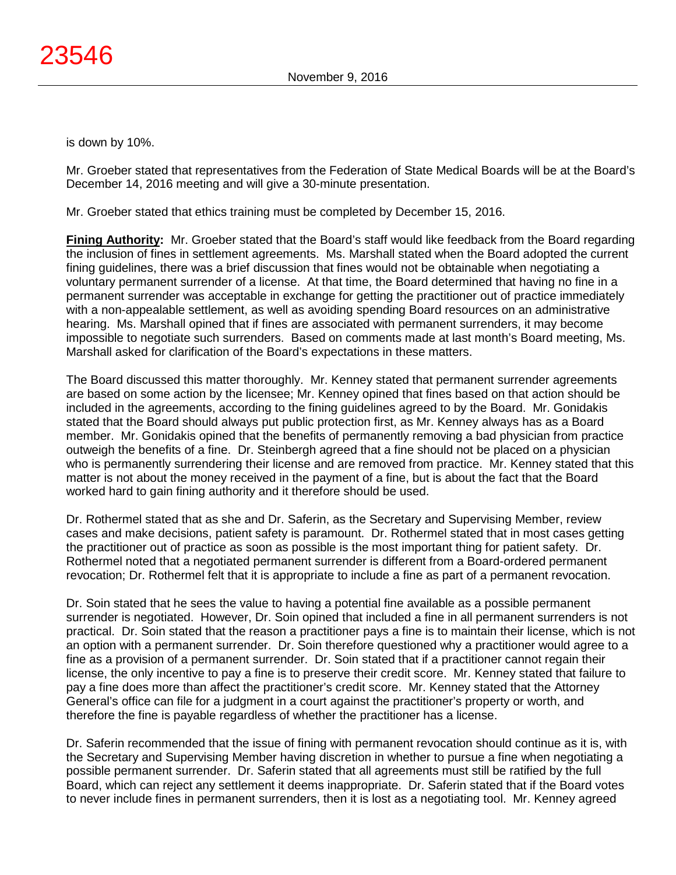is down by 10%.

Mr. Groeber stated that representatives from the Federation of State Medical Boards will be at the Board's December 14, 2016 meeting and will give a 30-minute presentation.

Mr. Groeber stated that ethics training must be completed by December 15, 2016.

**Fining Authority:** Mr. Groeber stated that the Board's staff would like feedback from the Board regarding the inclusion of fines in settlement agreements. Ms. Marshall stated when the Board adopted the current fining guidelines, there was a brief discussion that fines would not be obtainable when negotiating a voluntary permanent surrender of a license. At that time, the Board determined that having no fine in a permanent surrender was acceptable in exchange for getting the practitioner out of practice immediately with a non-appealable settlement, as well as avoiding spending Board resources on an administrative hearing. Ms. Marshall opined that if fines are associated with permanent surrenders, it may become impossible to negotiate such surrenders. Based on comments made at last month's Board meeting, Ms. Marshall asked for clarification of the Board's expectations in these matters.

The Board discussed this matter thoroughly. Mr. Kenney stated that permanent surrender agreements are based on some action by the licensee; Mr. Kenney opined that fines based on that action should be included in the agreements, according to the fining guidelines agreed to by the Board. Mr. Gonidakis stated that the Board should always put public protection first, as Mr. Kenney always has as a Board member. Mr. Gonidakis opined that the benefits of permanently removing a bad physician from practice outweigh the benefits of a fine. Dr. Steinbergh agreed that a fine should not be placed on a physician who is permanently surrendering their license and are removed from practice. Mr. Kenney stated that this matter is not about the money received in the payment of a fine, but is about the fact that the Board worked hard to gain fining authority and it therefore should be used.

Dr. Rothermel stated that as she and Dr. Saferin, as the Secretary and Supervising Member, review cases and make decisions, patient safety is paramount. Dr. Rothermel stated that in most cases getting the practitioner out of practice as soon as possible is the most important thing for patient safety. Dr. Rothermel noted that a negotiated permanent surrender is different from a Board-ordered permanent revocation; Dr. Rothermel felt that it is appropriate to include a fine as part of a permanent revocation.

Dr. Soin stated that he sees the value to having a potential fine available as a possible permanent surrender is negotiated. However, Dr. Soin opined that included a fine in all permanent surrenders is not practical. Dr. Soin stated that the reason a practitioner pays a fine is to maintain their license, which is not an option with a permanent surrender. Dr. Soin therefore questioned why a practitioner would agree to a fine as a provision of a permanent surrender. Dr. Soin stated that if a practitioner cannot regain their license, the only incentive to pay a fine is to preserve their credit score. Mr. Kenney stated that failure to pay a fine does more than affect the practitioner's credit score. Mr. Kenney stated that the Attorney General's office can file for a judgment in a court against the practitioner's property or worth, and therefore the fine is payable regardless of whether the practitioner has a license.

Dr. Saferin recommended that the issue of fining with permanent revocation should continue as it is, with the Secretary and Supervising Member having discretion in whether to pursue a fine when negotiating a possible permanent surrender. Dr. Saferin stated that all agreements must still be ratified by the full Board, which can reject any settlement it deems inappropriate. Dr. Saferin stated that if the Board votes to never include fines in permanent surrenders, then it is lost as a negotiating tool. Mr. Kenney agreed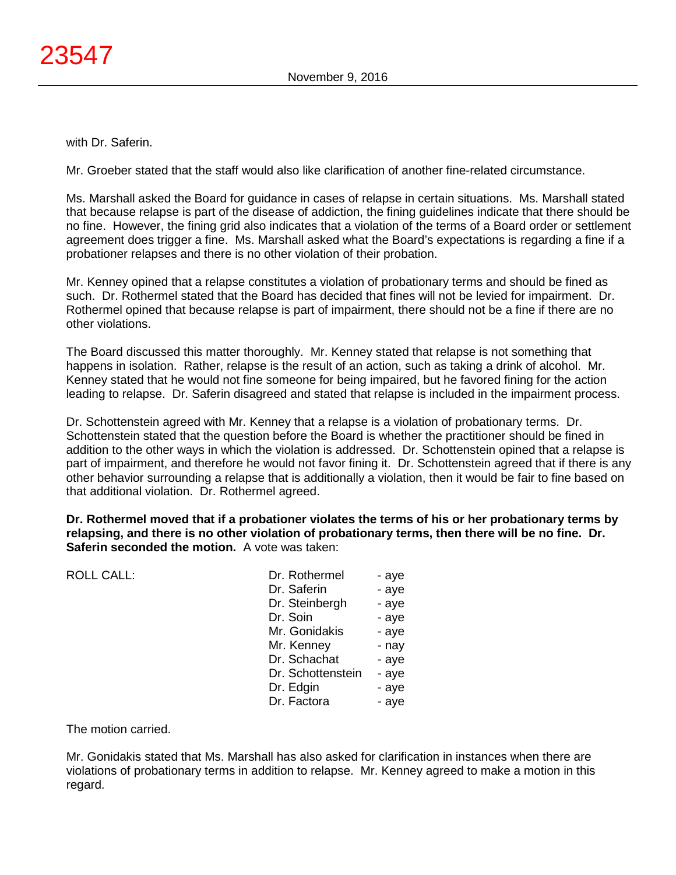with Dr. Saferin.

Mr. Groeber stated that the staff would also like clarification of another fine-related circumstance.

Ms. Marshall asked the Board for guidance in cases of relapse in certain situations. Ms. Marshall stated that because relapse is part of the disease of addiction, the fining guidelines indicate that there should be no fine. However, the fining grid also indicates that a violation of the terms of a Board order or settlement agreement does trigger a fine. Ms. Marshall asked what the Board's expectations is regarding a fine if a probationer relapses and there is no other violation of their probation.

Mr. Kenney opined that a relapse constitutes a violation of probationary terms and should be fined as such. Dr. Rothermel stated that the Board has decided that fines will not be levied for impairment. Dr. Rothermel opined that because relapse is part of impairment, there should not be a fine if there are no other violations.

The Board discussed this matter thoroughly. Mr. Kenney stated that relapse is not something that happens in isolation. Rather, relapse is the result of an action, such as taking a drink of alcohol. Mr. Kenney stated that he would not fine someone for being impaired, but he favored fining for the action leading to relapse. Dr. Saferin disagreed and stated that relapse is included in the impairment process.

Dr. Schottenstein agreed with Mr. Kenney that a relapse is a violation of probationary terms. Dr. Schottenstein stated that the question before the Board is whether the practitioner should be fined in addition to the other ways in which the violation is addressed. Dr. Schottenstein opined that a relapse is part of impairment, and therefore he would not favor fining it. Dr. Schottenstein agreed that if there is any other behavior surrounding a relapse that is additionally a violation, then it would be fair to fine based on that additional violation. Dr. Rothermel agreed.

**Dr. Rothermel moved that if a probationer violates the terms of his or her probationary terms by relapsing, and there is no other violation of probationary terms, then there will be no fine. Dr. Saferin seconded the motion.** A vote was taken:

| <b>ROLL CALL:</b> | Dr. Rothermel     | - aye |
|-------------------|-------------------|-------|
|                   | Dr. Saferin       | - aye |
|                   | Dr. Steinbergh    | - aye |
|                   | Dr. Soin          | - aye |
|                   | Mr. Gonidakis     | - aye |
|                   | Mr. Kenney        | - nay |
|                   | Dr. Schachat      | - aye |
|                   | Dr. Schottenstein | - aye |
|                   | Dr. Edgin         | - aye |
|                   | Dr. Factora       | - aye |
|                   |                   |       |

The motion carried.

Mr. Gonidakis stated that Ms. Marshall has also asked for clarification in instances when there are violations of probationary terms in addition to relapse. Mr. Kenney agreed to make a motion in this regard.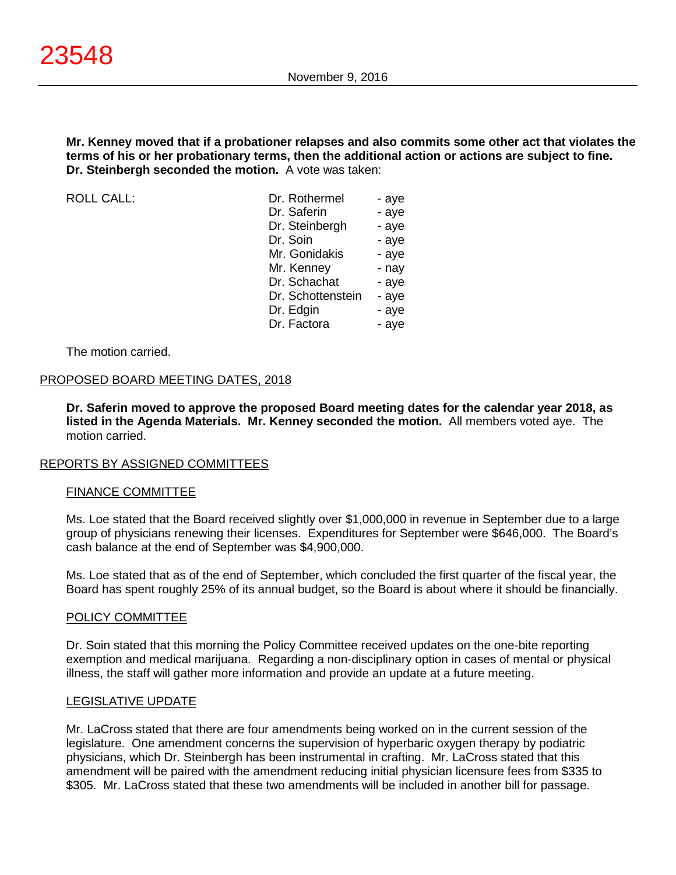**Mr. Kenney moved that if a probationer relapses and also commits some other act that violates the terms of his or her probationary terms, then the additional action or actions are subject to fine. Dr. Steinbergh seconded the motion.** A vote was taken:

 $ROILCAII$ :

| Dr. Rothermel     | - aye |
|-------------------|-------|
| Dr. Saferin       | - aye |
| Dr. Steinbergh    | - aye |
| Dr. Soin          | - aye |
| Mr. Gonidakis     | - aye |
| Mr. Kenney        | - nay |
| Dr. Schachat      | - aye |
| Dr. Schottenstein | - aye |
| Dr. Edgin         | - aye |
| Dr. Factora       | - aye |

The motion carried.

#### PROPOSED BOARD MEETING DATES, 2018

**Dr. Saferin moved to approve the proposed Board meeting dates for the calendar year 2018, as listed in the Agenda Materials. Mr. Kenney seconded the motion.** All members voted aye. The motion carried.

#### REPORTS BY ASSIGNED COMMITTEES

#### FINANCE COMMITTEE

Ms. Loe stated that the Board received slightly over \$1,000,000 in revenue in September due to a large group of physicians renewing their licenses. Expenditures for September were \$646,000. The Board's cash balance at the end of September was \$4,900,000.

Ms. Loe stated that as of the end of September, which concluded the first quarter of the fiscal year, the Board has spent roughly 25% of its annual budget, so the Board is about where it should be financially.

#### POLICY COMMITTEE

Dr. Soin stated that this morning the Policy Committee received updates on the one-bite reporting exemption and medical marijuana. Regarding a non-disciplinary option in cases of mental or physical illness, the staff will gather more information and provide an update at a future meeting.

#### LEGISLATIVE UPDATE

Mr. LaCross stated that there are four amendments being worked on in the current session of the legislature. One amendment concerns the supervision of hyperbaric oxygen therapy by podiatric physicians, which Dr. Steinbergh has been instrumental in crafting. Mr. LaCross stated that this amendment will be paired with the amendment reducing initial physician licensure fees from \$335 to \$305. Mr. LaCross stated that these two amendments will be included in another bill for passage.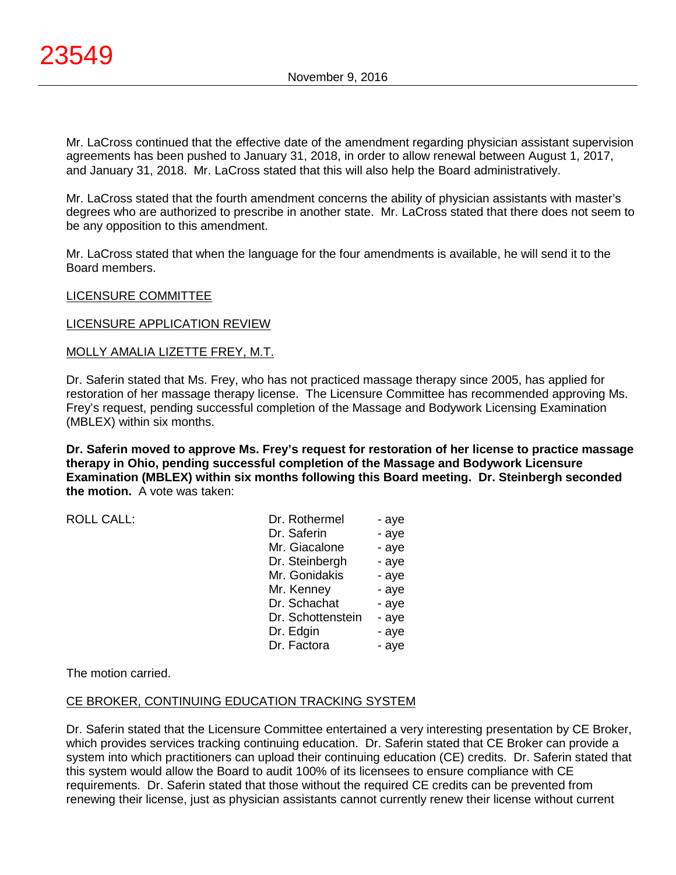Mr. LaCross continued that the effective date of the amendment regarding physician assistant supervision agreements has been pushed to January 31, 2018, in order to allow renewal between August 1, 2017, and January 31, 2018. Mr. LaCross stated that this will also help the Board administratively.

Mr. LaCross stated that the fourth amendment concerns the ability of physician assistants with master's degrees who are authorized to prescribe in another state. Mr. LaCross stated that there does not seem to be any opposition to this amendment.

Mr. LaCross stated that when the language for the four amendments is available, he will send it to the Board members.

# LICENSURE COMMITTEE

# LICENSURE APPLICATION REVIEW

# MOLLY AMALIA LIZETTE FREY, M.T.

Dr. Saferin stated that Ms. Frey, who has not practiced massage therapy since 2005, has applied for restoration of her massage therapy license. The Licensure Committee has recommended approving Ms. Frey's request, pending successful completion of the Massage and Bodywork Licensing Examination (MBLEX) within six months.

**Dr. Saferin moved to approve Ms. Frey's request for restoration of her license to practice massage therapy in Ohio, pending successful completion of the Massage and Bodywork Licensure Examination (MBLEX) within six months following this Board meeting. Dr. Steinbergh seconded the motion.** A vote was taken:

ROLL CALL:

| Dr. Rothermel     | - aye |
|-------------------|-------|
| Dr. Saferin       | - aye |
| Mr. Giacalone     | - aye |
| Dr. Steinbergh    | - aye |
| Mr. Gonidakis     | - aye |
| Mr. Kenney        | - aye |
| Dr. Schachat      | - aye |
| Dr. Schottenstein | - aye |
| Dr. Edgin         | - aye |
| Dr. Factora       | - aye |

The motion carried.

# CE BROKER, CONTINUING EDUCATION TRACKING SYSTEM

Dr. Saferin stated that the Licensure Committee entertained a very interesting presentation by CE Broker, which provides services tracking continuing education. Dr. Saferin stated that CE Broker can provide a system into which practitioners can upload their continuing education (CE) credits. Dr. Saferin stated that this system would allow the Board to audit 100% of its licensees to ensure compliance with CE requirements. Dr. Saferin stated that those without the required CE credits can be prevented from renewing their license, just as physician assistants cannot currently renew their license without current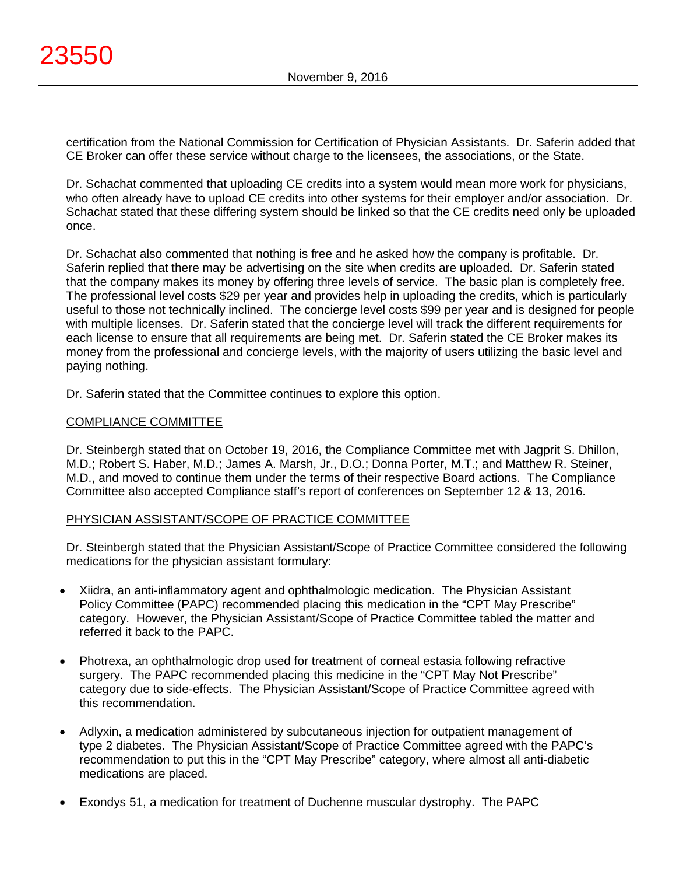certification from the National Commission for Certification of Physician Assistants. Dr. Saferin added that CE Broker can offer these service without charge to the licensees, the associations, or the State.

Dr. Schachat commented that uploading CE credits into a system would mean more work for physicians, who often already have to upload CE credits into other systems for their employer and/or association. Dr. Schachat stated that these differing system should be linked so that the CE credits need only be uploaded once.

Dr. Schachat also commented that nothing is free and he asked how the company is profitable. Dr. Saferin replied that there may be advertising on the site when credits are uploaded. Dr. Saferin stated that the company makes its money by offering three levels of service. The basic plan is completely free. The professional level costs \$29 per year and provides help in uploading the credits, which is particularly useful to those not technically inclined. The concierge level costs \$99 per year and is designed for people with multiple licenses. Dr. Saferin stated that the concierge level will track the different requirements for each license to ensure that all requirements are being met. Dr. Saferin stated the CE Broker makes its money from the professional and concierge levels, with the majority of users utilizing the basic level and paying nothing.

Dr. Saferin stated that the Committee continues to explore this option.

# COMPLIANCE COMMITTEE

Dr. Steinbergh stated that on October 19, 2016, the Compliance Committee met with Jagprit S. Dhillon, M.D.; Robert S. Haber, M.D.; James A. Marsh, Jr., D.O.; Donna Porter, M.T.; and Matthew R. Steiner, M.D., and moved to continue them under the terms of their respective Board actions. The Compliance Committee also accepted Compliance staff's report of conferences on September 12 & 13, 2016.

# PHYSICIAN ASSISTANT/SCOPE OF PRACTICE COMMITTEE

Dr. Steinbergh stated that the Physician Assistant/Scope of Practice Committee considered the following medications for the physician assistant formulary:

- Xiidra, an anti-inflammatory agent and ophthalmologic medication. The Physician Assistant Policy Committee (PAPC) recommended placing this medication in the "CPT May Prescribe" category. However, the Physician Assistant/Scope of Practice Committee tabled the matter and referred it back to the PAPC.
- Photrexa, an ophthalmologic drop used for treatment of corneal estasia following refractive surgery. The PAPC recommended placing this medicine in the "CPT May Not Prescribe" category due to side-effects. The Physician Assistant/Scope of Practice Committee agreed with this recommendation.
- Adlyxin, a medication administered by subcutaneous injection for outpatient management of type 2 diabetes. The Physician Assistant/Scope of Practice Committee agreed with the PAPC's recommendation to put this in the "CPT May Prescribe" category, where almost all anti-diabetic medications are placed.
- Exondys 51, a medication for treatment of Duchenne muscular dystrophy. The PAPC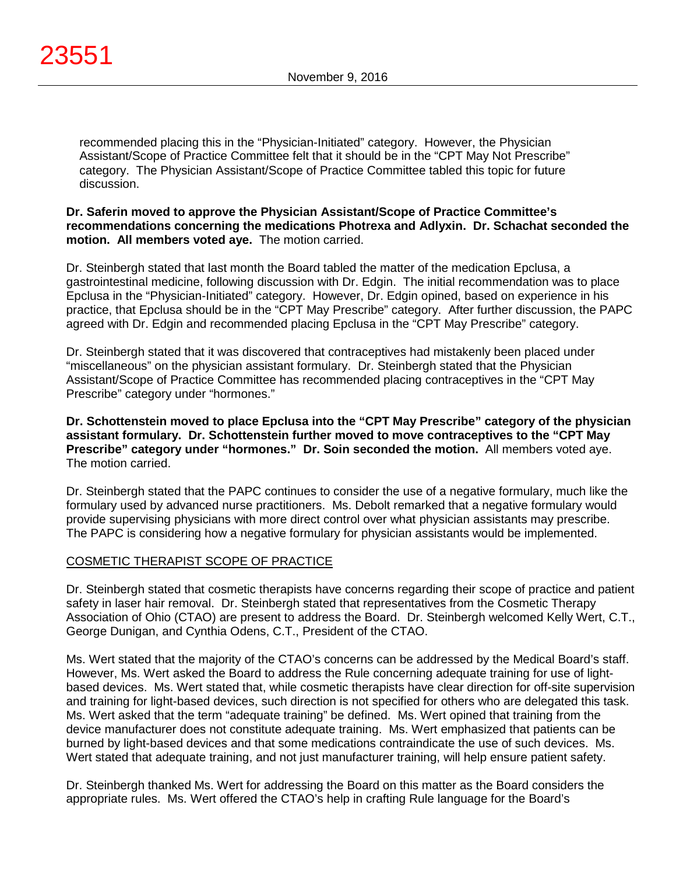recommended placing this in the "Physician-Initiated" category. However, the Physician Assistant/Scope of Practice Committee felt that it should be in the "CPT May Not Prescribe" category. The Physician Assistant/Scope of Practice Committee tabled this topic for future discussion.

# **Dr. Saferin moved to approve the Physician Assistant/Scope of Practice Committee's recommendations concerning the medications Photrexa and Adlyxin. Dr. Schachat seconded the motion. All members voted aye.** The motion carried.

Dr. Steinbergh stated that last month the Board tabled the matter of the medication Epclusa, a gastrointestinal medicine, following discussion with Dr. Edgin. The initial recommendation was to place Epclusa in the "Physician-Initiated" category. However, Dr. Edgin opined, based on experience in his practice, that Epclusa should be in the "CPT May Prescribe" category. After further discussion, the PAPC agreed with Dr. Edgin and recommended placing Epclusa in the "CPT May Prescribe" category.

Dr. Steinbergh stated that it was discovered that contraceptives had mistakenly been placed under "miscellaneous" on the physician assistant formulary. Dr. Steinbergh stated that the Physician Assistant/Scope of Practice Committee has recommended placing contraceptives in the "CPT May Prescribe" category under "hormones."

**Dr. Schottenstein moved to place Epclusa into the "CPT May Prescribe" category of the physician assistant formulary. Dr. Schottenstein further moved to move contraceptives to the "CPT May Prescribe" category under "hormones." Dr. Soin seconded the motion.** All members voted aye. The motion carried.

Dr. Steinbergh stated that the PAPC continues to consider the use of a negative formulary, much like the formulary used by advanced nurse practitioners. Ms. Debolt remarked that a negative formulary would provide supervising physicians with more direct control over what physician assistants may prescribe. The PAPC is considering how a negative formulary for physician assistants would be implemented.

# COSMETIC THERAPIST SCOPE OF PRACTICE

Dr. Steinbergh stated that cosmetic therapists have concerns regarding their scope of practice and patient safety in laser hair removal. Dr. Steinbergh stated that representatives from the Cosmetic Therapy Association of Ohio (CTAO) are present to address the Board. Dr. Steinbergh welcomed Kelly Wert, C.T., George Dunigan, and Cynthia Odens, C.T., President of the CTAO.

Ms. Wert stated that the majority of the CTAO's concerns can be addressed by the Medical Board's staff. However, Ms. Wert asked the Board to address the Rule concerning adequate training for use of lightbased devices. Ms. Wert stated that, while cosmetic therapists have clear direction for off-site supervision and training for light-based devices, such direction is not specified for others who are delegated this task. Ms. Wert asked that the term "adequate training" be defined. Ms. Wert opined that training from the device manufacturer does not constitute adequate training. Ms. Wert emphasized that patients can be burned by light-based devices and that some medications contraindicate the use of such devices. Ms. Wert stated that adequate training, and not just manufacturer training, will help ensure patient safety.

Dr. Steinbergh thanked Ms. Wert for addressing the Board on this matter as the Board considers the appropriate rules. Ms. Wert offered the CTAO's help in crafting Rule language for the Board's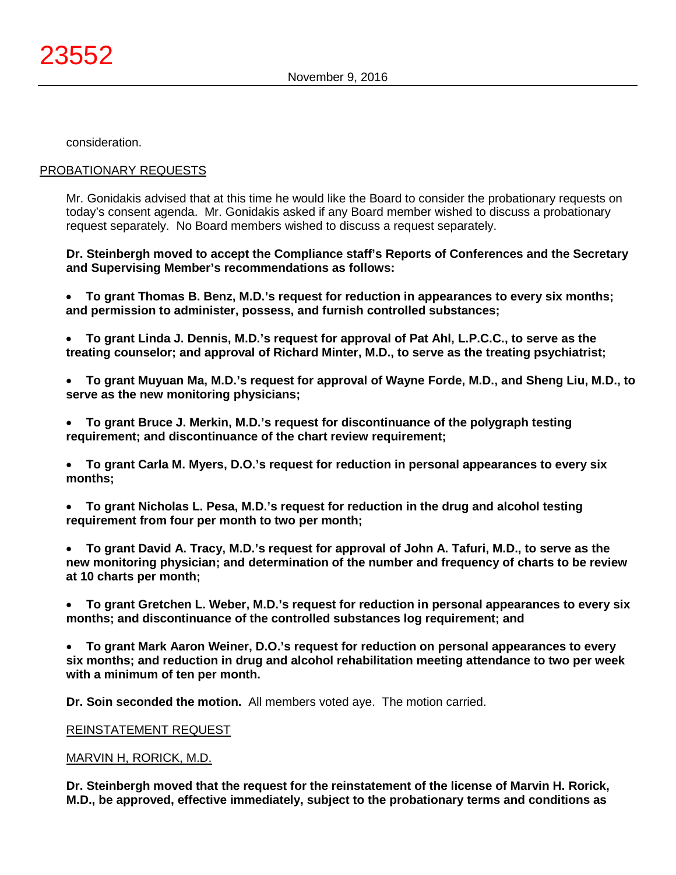consideration.

# PROBATIONARY REQUESTS

Mr. Gonidakis advised that at this time he would like the Board to consider the probationary requests on today's consent agenda. Mr. Gonidakis asked if any Board member wished to discuss a probationary request separately. No Board members wished to discuss a request separately.

**Dr. Steinbergh moved to accept the Compliance staff's Reports of Conferences and the Secretary and Supervising Member's recommendations as follows:**

• **To grant Thomas B. Benz, M.D.'s request for reduction in appearances to every six months; and permission to administer, possess, and furnish controlled substances;**

- **To grant Linda J. Dennis, M.D.'s request for approval of Pat Ahl, L.P.C.C., to serve as the treating counselor; and approval of Richard Minter, M.D., to serve as the treating psychiatrist;**
- **To grant Muyuan Ma, M.D.'s request for approval of Wayne Forde, M.D., and Sheng Liu, M.D., to serve as the new monitoring physicians;**
- **To grant Bruce J. Merkin, M.D.'s request for discontinuance of the polygraph testing requirement; and discontinuance of the chart review requirement;**

• **To grant Carla M. Myers, D.O.'s request for reduction in personal appearances to every six months;**

• **To grant Nicholas L. Pesa, M.D.'s request for reduction in the drug and alcohol testing requirement from four per month to two per month;**

• **To grant David A. Tracy, M.D.'s request for approval of John A. Tafuri, M.D., to serve as the new monitoring physician; and determination of the number and frequency of charts to be review at 10 charts per month;**

• **To grant Gretchen L. Weber, M.D.'s request for reduction in personal appearances to every six months; and discontinuance of the controlled substances log requirement; and**

• **To grant Mark Aaron Weiner, D.O.'s request for reduction on personal appearances to every six months; and reduction in drug and alcohol rehabilitation meeting attendance to two per week with a minimum of ten per month.**

**Dr. Soin seconded the motion.** All members voted aye. The motion carried.

# REINSTATEMENT REQUEST

# MARVIN H, RORICK, M.D.

**Dr. Steinbergh moved that the request for the reinstatement of the license of Marvin H. Rorick, M.D., be approved, effective immediately, subject to the probationary terms and conditions as**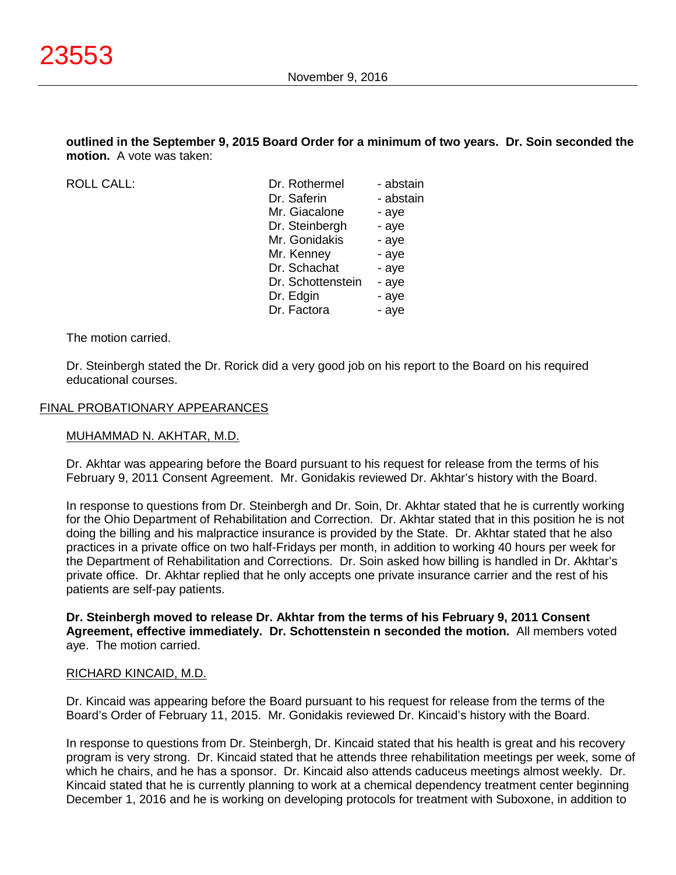**outlined in the September 9, 2015 Board Order for a minimum of two years. Dr. Soin seconded the motion.** A vote was taken:

ROLL CALL:

| Dr. Rothermel     | - abstain |
|-------------------|-----------|
| Dr. Saferin       | - abstain |
| Mr. Giacalone     | - aye     |
| Dr. Steinbergh    | - aye     |
| Mr. Gonidakis     | - aye     |
| Mr. Kenney        | - aye     |
| Dr. Schachat      | - aye     |
| Dr. Schottenstein | - aye     |
| Dr. Edgin         | - aye     |
| Dr. Factora       | - aye     |
|                   |           |

The motion carried.

Dr. Steinbergh stated the Dr. Rorick did a very good job on his report to the Board on his required educational courses.

#### FINAL PROBATIONARY APPEARANCES

#### MUHAMMAD N. AKHTAR, M.D.

Dr. Akhtar was appearing before the Board pursuant to his request for release from the terms of his February 9, 2011 Consent Agreement. Mr. Gonidakis reviewed Dr. Akhtar's history with the Board.

In response to questions from Dr. Steinbergh and Dr. Soin, Dr. Akhtar stated that he is currently working for the Ohio Department of Rehabilitation and Correction. Dr. Akhtar stated that in this position he is not doing the billing and his malpractice insurance is provided by the State. Dr. Akhtar stated that he also practices in a private office on two half-Fridays per month, in addition to working 40 hours per week for the Department of Rehabilitation and Corrections. Dr. Soin asked how billing is handled in Dr. Akhtar's private office. Dr. Akhtar replied that he only accepts one private insurance carrier and the rest of his patients are self-pay patients.

**Dr. Steinbergh moved to release Dr. Akhtar from the terms of his February 9, 2011 Consent Agreement, effective immediately. Dr. Schottenstein n seconded the motion.** All members voted aye. The motion carried.

#### RICHARD KINCAID, M.D.

Dr. Kincaid was appearing before the Board pursuant to his request for release from the terms of the Board's Order of February 11, 2015. Mr. Gonidakis reviewed Dr. Kincaid's history with the Board.

In response to questions from Dr. Steinbergh, Dr. Kincaid stated that his health is great and his recovery program is very strong. Dr. Kincaid stated that he attends three rehabilitation meetings per week, some of which he chairs, and he has a sponsor. Dr. Kincaid also attends caduceus meetings almost weekly. Dr. Kincaid stated that he is currently planning to work at a chemical dependency treatment center beginning December 1, 2016 and he is working on developing protocols for treatment with Suboxone, in addition to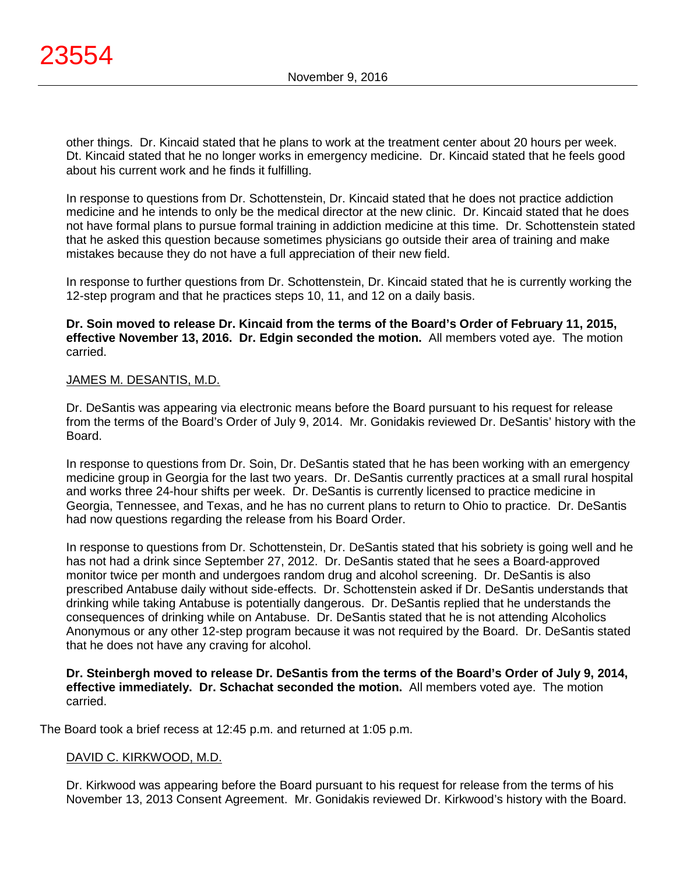other things. Dr. Kincaid stated that he plans to work at the treatment center about 20 hours per week. Dt. Kincaid stated that he no longer works in emergency medicine. Dr. Kincaid stated that he feels good about his current work and he finds it fulfilling.

In response to questions from Dr. Schottenstein, Dr. Kincaid stated that he does not practice addiction medicine and he intends to only be the medical director at the new clinic. Dr. Kincaid stated that he does not have formal plans to pursue formal training in addiction medicine at this time. Dr. Schottenstein stated that he asked this question because sometimes physicians go outside their area of training and make mistakes because they do not have a full appreciation of their new field.

In response to further questions from Dr. Schottenstein, Dr. Kincaid stated that he is currently working the 12-step program and that he practices steps 10, 11, and 12 on a daily basis.

# **Dr. Soin moved to release Dr. Kincaid from the terms of the Board's Order of February 11, 2015, effective November 13, 2016. Dr. Edgin seconded the motion.** All members voted aye. The motion carried.

# JAMES M. DESANTIS, M.D.

Dr. DeSantis was appearing via electronic means before the Board pursuant to his request for release from the terms of the Board's Order of July 9, 2014. Mr. Gonidakis reviewed Dr. DeSantis' history with the Board.

In response to questions from Dr. Soin, Dr. DeSantis stated that he has been working with an emergency medicine group in Georgia for the last two years. Dr. DeSantis currently practices at a small rural hospital and works three 24-hour shifts per week. Dr. DeSantis is currently licensed to practice medicine in Georgia, Tennessee, and Texas, and he has no current plans to return to Ohio to practice. Dr. DeSantis had now questions regarding the release from his Board Order.

In response to questions from Dr. Schottenstein, Dr. DeSantis stated that his sobriety is going well and he has not had a drink since September 27, 2012. Dr. DeSantis stated that he sees a Board-approved monitor twice per month and undergoes random drug and alcohol screening. Dr. DeSantis is also prescribed Antabuse daily without side-effects. Dr. Schottenstein asked if Dr. DeSantis understands that drinking while taking Antabuse is potentially dangerous. Dr. DeSantis replied that he understands the consequences of drinking while on Antabuse. Dr. DeSantis stated that he is not attending Alcoholics Anonymous or any other 12-step program because it was not required by the Board. Dr. DeSantis stated that he does not have any craving for alcohol.

**Dr. Steinbergh moved to release Dr. DeSantis from the terms of the Board's Order of July 9, 2014, effective immediately. Dr. Schachat seconded the motion.** All members voted aye. The motion carried.

The Board took a brief recess at 12:45 p.m. and returned at 1:05 p.m.

# DAVID C. KIRKWOOD, M.D.

Dr. Kirkwood was appearing before the Board pursuant to his request for release from the terms of his November 13, 2013 Consent Agreement. Mr. Gonidakis reviewed Dr. Kirkwood's history with the Board.